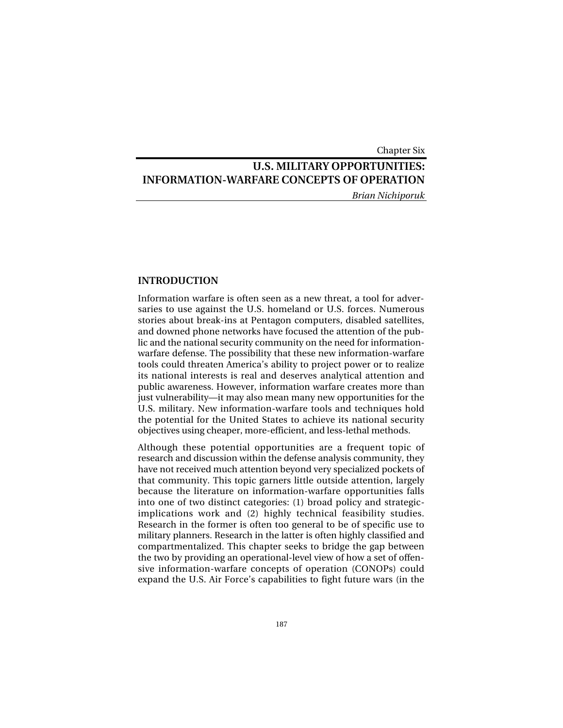Chapter Six

# **U.S. MILITARY OPPORTUNITIES: INFORMATION-WARFARE CONCEPTS OF OPERATION**

*Brian Nichiporuk*

# **INTRODUCTION**

Information warfare is often seen as a new threat, a tool for adversaries to use against the U.S. homeland or U.S. forces. Numerous stories about break-ins at Pentagon computers, disabled satellites, and downed phone networks have focused the attention of the public and the national security community on the need for informationwarfare defense. The possibility that these new information-warfare tools could threaten America's ability to project power or to realize its national interests is real and deserves analytical attention and public awareness. However, information warfare creates more than just vulnerability—it may also mean many new opportunities for the U.S. military. New information-warfare tools and techniques hold the potential for the United States to achieve its national security objectives using cheaper, more-efficient, and less-lethal methods.

Although these potential opportunities are a frequent topic of research and discussion within the defense analysis community, they have not received much attention beyond very specialized pockets of that community. This topic garners little outside attention, largely because the literature on information-warfare opportunities falls into one of two distinct categories: (1) broad policy and strategicimplications work and (2) highly technical feasibility studies. Research in the former is often too general to be of specific use to military planners. Research in the latter is often highly classified and compartmentalized. This chapter seeks to bridge the gap between the two by providing an operational-level view of how a set of offensive information-warfare concepts of operation (CONOPs) could expand the U.S. Air Force's capabilities to fight future wars (in the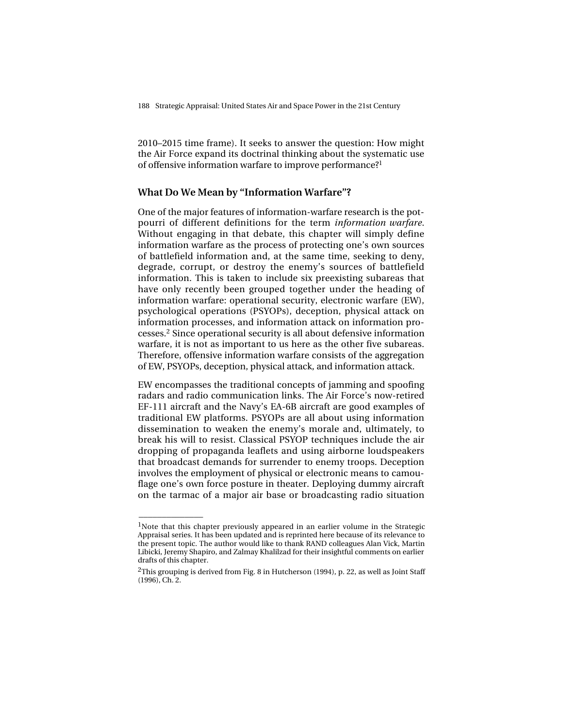2010–2015 time frame). It seeks to answer the question: How might the Air Force expand its doctrinal thinking about the systematic use of offensive information warfare to improve performance?1

# **What Do We Mean by "Information Warfare"?**

One of the major features of information-warfare research is the potpourri of different definitions for the term *information warfare*. Without engaging in that debate, this chapter will simply define information warfare as the process of protecting one's own sources of battlefield information and, at the same time, seeking to deny, degrade, corrupt, or destroy the enemy's sources of battlefield information. This is taken to include six preexisting subareas that have only recently been grouped together under the heading of information warfare: operational security, electronic warfare (EW), psychological operations (PSYOPs), deception, physical attack on information processes, and information attack on information processes.2 Since operational security is all about defensive information warfare, it is not as important to us here as the other five subareas. Therefore, offensive information warfare consists of the aggregation of EW, PSYOPs, deception, physical attack, and information attack.

EW encompasses the traditional concepts of jamming and spoofing radars and radio communication links. The Air Force's now-retired EF-111 aircraft and the Navy's EA-6B aircraft are good examples of traditional EW platforms. PSYOPs are all about using information dissemination to weaken the enemy's morale and, ultimately, to break his will to resist. Classical PSYOP techniques include the air dropping of propaganda leaflets and using airborne loudspeakers that broadcast demands for surrender to enemy troops. Deception involves the employment of physical or electronic means to camouflage one's own force posture in theater. Deploying dummy aircraft on the tarmac of a major air base or broadcasting radio situation

<sup>&</sup>lt;sup>1</sup>Note that this chapter previously appeared in an earlier volume in the Strategic Appraisal series. It has been updated and is reprinted here because of its relevance to the present topic. The author would like to thank RAND colleagues Alan Vick, Martin Libicki, Jeremy Shapiro, and Zalmay Khalilzad for their insightful comments on earlier drafts of this chapter.

 $2$ This grouping is derived from Fig. 8 in Hutcherson (1994), p. 22, as well as Joint Staff (1996), Ch. 2.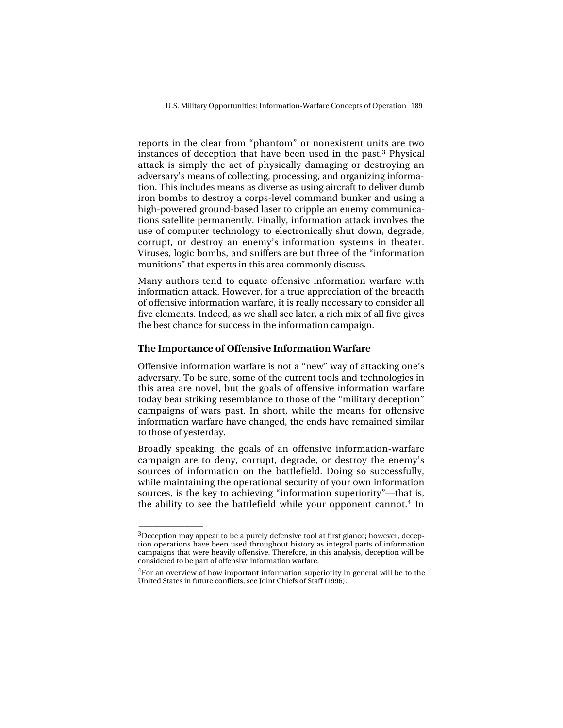reports in the clear from "phantom" or nonexistent units are two instances of deception that have been used in the past.3 Physical attack is simply the act of physically damaging or destroying an adversary's means of collecting, processing, and organizing information. This includes means as diverse as using aircraft to deliver dumb iron bombs to destroy a corps-level command bunker and using a high-powered ground-based laser to cripple an enemy communications satellite permanently. Finally, information attack involves the use of computer technology to electronically shut down, degrade, corrupt, or destroy an enemy's information systems in theater. Viruses, logic bombs, and sniffers are but three of the "information munitions" that experts in this area commonly discuss.

Many authors tend to equate offensive information warfare with information attack. However, for a true appreciation of the breadth of offensive information warfare, it is really necessary to consider all five elements. Indeed, as we shall see later, a rich mix of all five gives the best chance for success in the information campaign.

# **The Importance of Offensive Information Warfare**

Offensive information warfare is not a "new" way of attacking one's adversary. To be sure, some of the current tools and technologies in this area are novel, but the goals of offensive information warfare today bear striking resemblance to those of the "military deception" campaigns of wars past. In short, while the means for offensive information warfare have changed, the ends have remained similar to those of yesterday.

Broadly speaking, the goals of an offensive information-warfare campaign are to deny, corrupt, degrade, or destroy the enemy's sources of information on the battlefield. Doing so successfully, while maintaining the operational security of your own information sources, is the key to achieving "information superiority"—that is, the ability to see the battlefield while your opponent cannot.4 In

\_\_\_\_\_\_\_\_\_\_\_\_\_\_

<sup>&</sup>lt;sup>3</sup>Deception may appear to be a purely defensive tool at first glance; however, deception operations have been used throughout history as integral parts of information campaigns that were heavily offensive. Therefore, in this analysis, deception will be considered to be part of offensive information warfare.

<sup>4</sup>For an overview of how important information superiority in general will be to the United States in future conflicts, see Joint Chiefs of Staff (1996).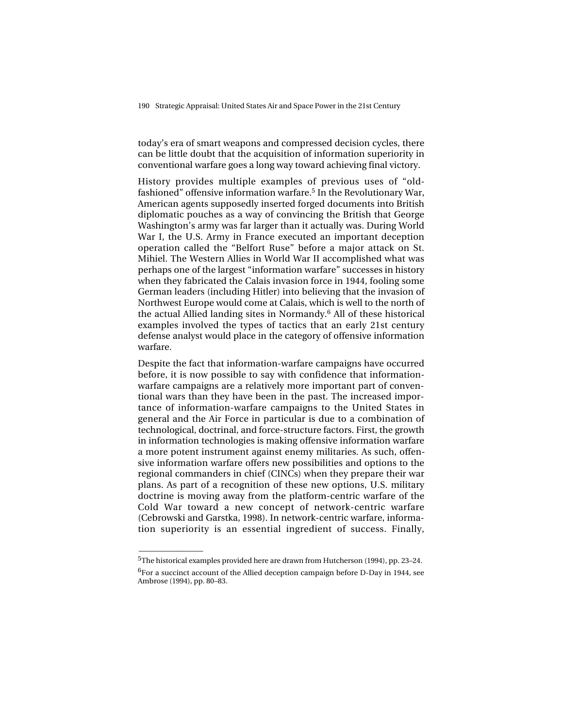today's era of smart weapons and compressed decision cycles, there can be little doubt that the acquisition of information superiority in conventional warfare goes a long way toward achieving final victory.

History provides multiple examples of previous uses of "oldfashioned" offensive information warfare.5 In the Revolutionary War, American agents supposedly inserted forged documents into British diplomatic pouches as a way of convincing the British that George Washington's army was far larger than it actually was. During World War I, the U.S. Army in France executed an important deception operation called the "Belfort Ruse" before a major attack on St. Mihiel. The Western Allies in World War II accomplished what was perhaps one of the largest "information warfare" successes in history when they fabricated the Calais invasion force in 1944, fooling some German leaders (including Hitler) into believing that the invasion of Northwest Europe would come at Calais, which is well to the north of the actual Allied landing sites in Normandy.6 All of these historical examples involved the types of tactics that an early 21st century defense analyst would place in the category of offensive information warfare.

Despite the fact that information-warfare campaigns have occurred before, it is now possible to say with confidence that informationwarfare campaigns are a relatively more important part of conventional wars than they have been in the past. The increased importance of information-warfare campaigns to the United States in general and the Air Force in particular is due to a combination of technological, doctrinal, and force-structure factors. First, the growth in information technologies is making offensive information warfare a more potent instrument against enemy militaries. As such, offensive information warfare offers new possibilities and options to the regional commanders in chief (CINCs) when they prepare their war plans. As part of a recognition of these new options, U.S. military doctrine is moving away from the platform-centric warfare of the Cold War toward a new concept of network-centric warfare (Cebrowski and Garstka, 1998). In network-centric warfare, information superiority is an essential ingredient of success. Finally,

\_\_\_\_\_\_\_\_\_\_\_\_\_\_

<sup>5</sup>The historical examples provided here are drawn from Hutcherson (1994), pp. 23–24.

 $6$ For a succinct account of the Allied deception campaign before D-Day in 1944, see Ambrose (1994), pp. 80–83.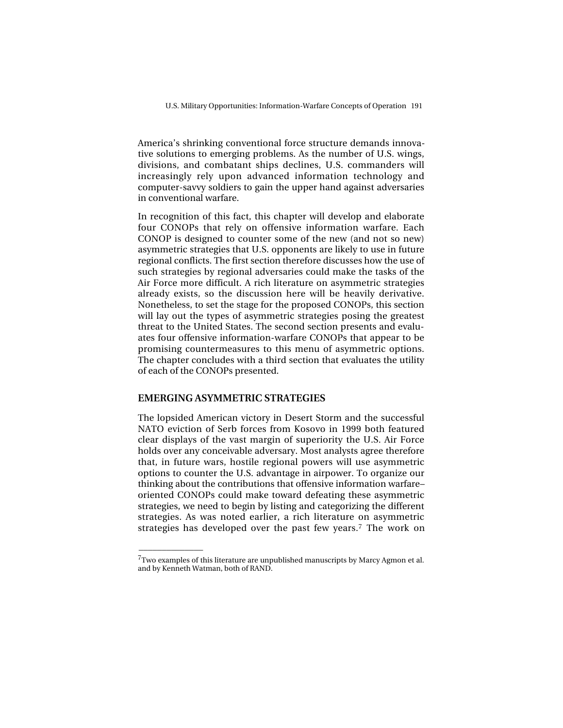America's shrinking conventional force structure demands innovative solutions to emerging problems. As the number of U.S. wings, divisions, and combatant ships declines, U.S. commanders will increasingly rely upon advanced information technology and computer-savvy soldiers to gain the upper hand against adversaries in conventional warfare.

In recognition of this fact, this chapter will develop and elaborate four CONOPs that rely on offensive information warfare. Each CONOP is designed to counter some of the new (and not so new) asymmetric strategies that U.S. opponents are likely to use in future regional conflicts. The first section therefore discusses how the use of such strategies by regional adversaries could make the tasks of the Air Force more difficult. A rich literature on asymmetric strategies already exists, so the discussion here will be heavily derivative. Nonetheless, to set the stage for the proposed CONOPs, this section will lay out the types of asymmetric strategies posing the greatest threat to the United States. The second section presents and evaluates four offensive information-warfare CONOPs that appear to be promising countermeasures to this menu of asymmetric options. The chapter concludes with a third section that evaluates the utility of each of the CONOPs presented.

# **EMERGING ASYMMETRIC STRATEGIES**

 $\overline{\phantom{a}}$ 

The lopsided American victory in Desert Storm and the successful NATO eviction of Serb forces from Kosovo in 1999 both featured clear displays of the vast margin of superiority the U.S. Air Force holds over any conceivable adversary. Most analysts agree therefore that, in future wars, hostile regional powers will use asymmetric options to counter the U.S. advantage in airpower. To organize our thinking about the contributions that offensive information warfare– oriented CONOPs could make toward defeating these asymmetric strategies, we need to begin by listing and categorizing the different strategies. As was noted earlier, a rich literature on asymmetric strategies has developed over the past few years.<sup>7</sup> The work on

 $7$ Two examples of this literature are unpublished manuscripts by Marcy Agmon et al. and by Kenneth Watman, both of RAND.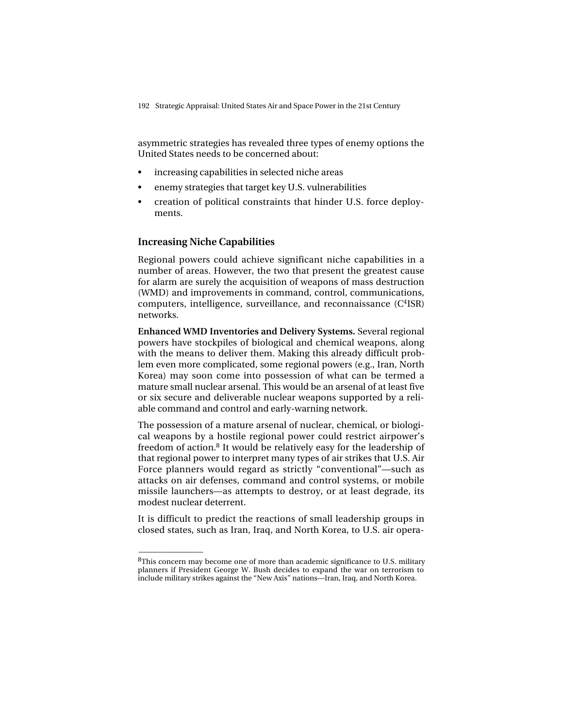asymmetric strategies has revealed three types of enemy options the United States needs to be concerned about:

- increasing capabilities in selected niche areas
- enemy strategies that target key U.S. vulnerabilities
- creation of political constraints that hinder U.S. force deployments.

## **Increasing Niche Capabilities**

 $\overline{\phantom{a}}$ 

Regional powers could achieve significant niche capabilities in a number of areas. However, the two that present the greatest cause for alarm are surely the acquisition of weapons of mass destruction (WMD) and improvements in command, control, communications, computers, intelligence, surveillance, and reconnaissance (C4ISR) networks.

**Enhanced WMD Inventories and Delivery Systems.** Several regional powers have stockpiles of biological and chemical weapons, along with the means to deliver them. Making this already difficult problem even more complicated, some regional powers (e.g., Iran, North Korea) may soon come into possession of what can be termed a mature small nuclear arsenal. This would be an arsenal of at least five or six secure and deliverable nuclear weapons supported by a reliable command and control and early-warning network.

The possession of a mature arsenal of nuclear, chemical, or biological weapons by a hostile regional power could restrict airpower's freedom of action.8 It would be relatively easy for the leadership of that regional power to interpret many types of air strikes that U.S. Air Force planners would regard as strictly "conventional"—such as attacks on air defenses, command and control systems, or mobile missile launchers—as attempts to destroy, or at least degrade, its modest nuclear deterrent.

It is difficult to predict the reactions of small leadership groups in closed states, such as Iran, Iraq, and North Korea, to U.S. air opera-

<sup>&</sup>lt;sup>8</sup>This concern may become one of more than academic significance to U.S. military planners if President George W. Bush decides to expand the war on terrorism to include military strikes against the "New Axis" nations—Iran, Iraq, and North Korea.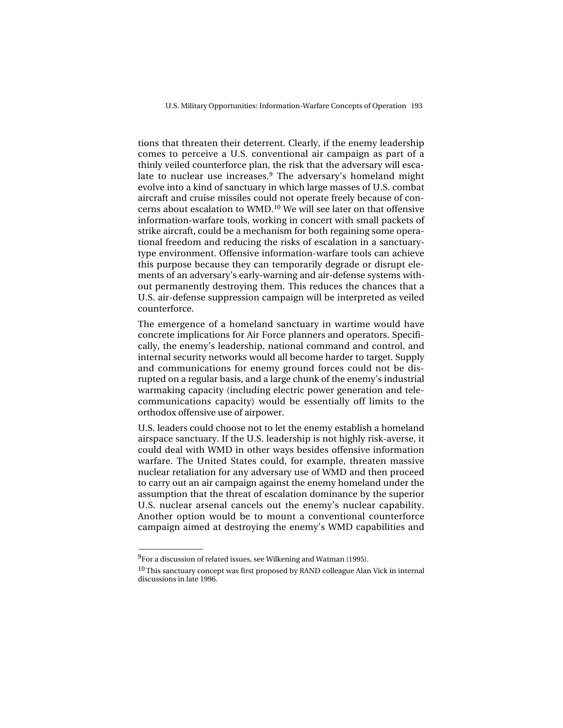tions that threaten their deterrent. Clearly, if the enemy leadership comes to perceive a U.S. conventional air campaign as part of a thinly veiled counterforce plan, the risk that the adversary will escalate to nuclear use increases.9 The adversary's homeland might evolve into a kind of sanctuary in which large masses of U.S. combat aircraft and cruise missiles could not operate freely because of concerns about escalation to WMD.10 We will see later on that offensive information-warfare tools, working in concert with small packets of strike aircraft, could be a mechanism for both regaining some operational freedom and reducing the risks of escalation in a sanctuarytype environment. Offensive information-warfare tools can achieve this purpose because they can temporarily degrade or disrupt elements of an adversary's early-warning and air-defense systems without permanently destroying them. This reduces the chances that a U.S. air-defense suppression campaign will be interpreted as veiled counterforce.

The emergence of a homeland sanctuary in wartime would have concrete implications for Air Force planners and operators. Specifically, the enemy's leadership, national command and control, and internal security networks would all become harder to target. Supply and communications for enemy ground forces could not be disrupted on a regular basis, and a large chunk of the enemy's industrial warmaking capacity (including electric power generation and telecommunications capacity) would be essentially off limits to the orthodox offensive use of airpower.

U.S. leaders could choose not to let the enemy establish a homeland airspace sanctuary. If the U.S. leadership is not highly risk-averse, it could deal with WMD in other ways besides offensive information warfare. The United States could, for example, threaten massive nuclear retaliation for any adversary use of WMD and then proceed to carry out an air campaign against the enemy homeland under the assumption that the threat of escalation dominance by the superior U.S. nuclear arsenal cancels out the enemy's nuclear capability. Another option would be to mount a conventional counterforce campaign aimed at destroying the enemy's WMD capabilities and

 $9$ For a discussion of related issues, see Wilkening and Watman (1995).

<sup>&</sup>lt;sup>10</sup> This sanctuary concept was first proposed by RAND colleague Alan Vick in internal discussions in late 1996.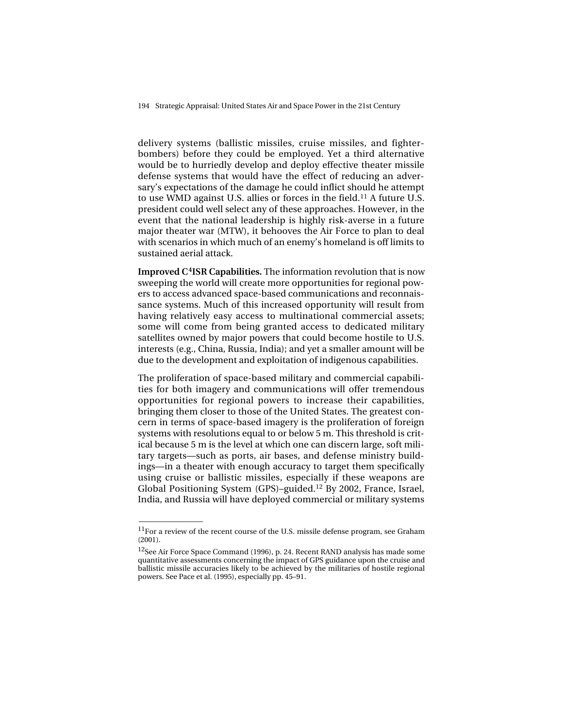delivery systems (ballistic missiles, cruise missiles, and fighterbombers) before they could be employed. Yet a third alternative would be to hurriedly develop and deploy effective theater missile defense systems that would have the effect of reducing an adversary's expectations of the damage he could inflict should he attempt to use WMD against U.S. allies or forces in the field.11 A future U.S. president could well select any of these approaches. However, in the event that the national leadership is highly risk-averse in a future major theater war (MTW), it behooves the Air Force to plan to deal with scenarios in which much of an enemy's homeland is off limits to sustained aerial attack.

**Improved C4ISR Capabilities.** The information revolution that is now sweeping the world will create more opportunities for regional powers to access advanced space-based communications and reconnaissance systems. Much of this increased opportunity will result from having relatively easy access to multinational commercial assets; some will come from being granted access to dedicated military satellites owned by major powers that could become hostile to U.S. interests (e.g., China, Russia, India); and yet a smaller amount will be due to the development and exploitation of indigenous capabilities.

The proliferation of space-based military and commercial capabilities for both imagery and communications will offer tremendous opportunities for regional powers to increase their capabilities, bringing them closer to those of the United States. The greatest concern in terms of space-based imagery is the proliferation of foreign systems with resolutions equal to or below 5 m. This threshold is critical because 5 m is the level at which one can discern large, soft military targets—such as ports, air bases, and defense ministry buildings—in a theater with enough accuracy to target them specifically using cruise or ballistic missiles, especially if these weapons are Global Positioning System (GPS)–guided.12 By 2002, France, Israel, India, and Russia will have deployed commercial or military systems

\_\_\_\_\_\_\_\_\_\_\_\_\_\_

 $^{11}\!$  For a review of the recent course of the U.S. missile defense program, see Graham (2001).

<sup>12</sup>See Air Force Space Command (1996), p. 24. Recent RAND analysis has made some quantitative assessments concerning the impact of GPS guidance upon the cruise and ballistic missile accuracies likely to be achieved by the militaries of hostile regional powers. See Pace et al. (1995), especially pp. 45–91.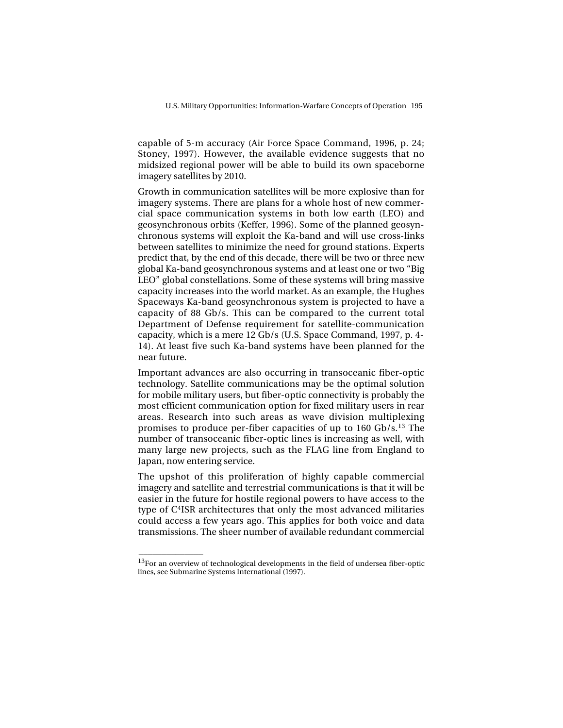capable of 5-m accuracy (Air Force Space Command, 1996, p. 24; Stoney, 1997). However, the available evidence suggests that no midsized regional power will be able to build its own spaceborne imagery satellites by 2010.

Growth in communication satellites will be more explosive than for imagery systems. There are plans for a whole host of new commercial space communication systems in both low earth (LEO) and geosynchronous orbits (Keffer, 1996). Some of the planned geosynchronous systems will exploit the Ka-band and will use cross-links between satellites to minimize the need for ground stations. Experts predict that, by the end of this decade, there will be two or three new global Ka-band geosynchronous systems and at least one or two "Big LEO" global constellations. Some of these systems will bring massive capacity increases into the world market. As an example, the Hughes Spaceways Ka-band geosynchronous system is projected to have a capacity of 88 Gb/s. This can be compared to the current total Department of Defense requirement for satellite-communication capacity, which is a mere 12 Gb/s (U.S. Space Command, 1997, p. 4- 14). At least five such Ka-band systems have been planned for the near future.

Important advances are also occurring in transoceanic fiber-optic technology. Satellite communications may be the optimal solution for mobile military users, but fiber-optic connectivity is probably the most efficient communication option for fixed military users in rear areas. Research into such areas as wave division multiplexing promises to produce per-fiber capacities of up to  $160 \text{ Gb/s}$ <sup>13</sup> The number of transoceanic fiber-optic lines is increasing as well, with many large new projects, such as the FLAG line from England to Japan, now entering service.

The upshot of this proliferation of highly capable commercial imagery and satellite and terrestrial communications is that it will be easier in the future for hostile regional powers to have access to the type of C4ISR architectures that only the most advanced militaries could access a few years ago. This applies for both voice and data transmissions. The sheer number of available redundant commercial

\_\_\_\_\_\_\_\_\_\_\_\_\_\_

<sup>&</sup>lt;sup>13</sup>For an overview of technological developments in the field of undersea fiber-optic lines, see Submarine Systems International (1997).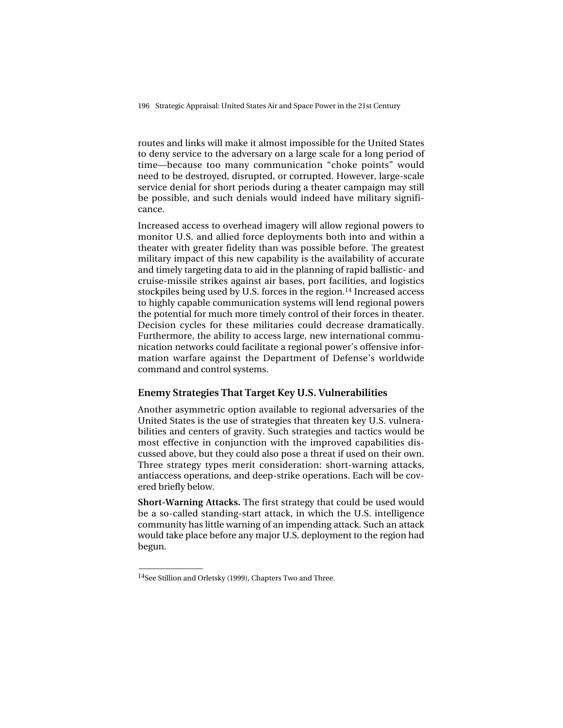routes and links will make it almost impossible for the United States to deny service to the adversary on a large scale for a long period of time—because too many communication "choke points" would need to be destroyed, disrupted, or corrupted. However, large-scale service denial for short periods during a theater campaign may still be possible, and such denials would indeed have military significance.

Increased access to overhead imagery will allow regional powers to monitor U.S. and allied force deployments both into and within a theater with greater fidelity than was possible before. The greatest military impact of this new capability is the availability of accurate and timely targeting data to aid in the planning of rapid ballistic- and cruise-missile strikes against air bases, port facilities, and logistics stockpiles being used by U.S. forces in the region.<sup>14</sup> Increased access to highly capable communication systems will lend regional powers the potential for much more timely control of their forces in theater. Decision cycles for these militaries could decrease dramatically. Furthermore, the ability to access large, new international communication networks could facilitate a regional power's offensive information warfare against the Department of Defense's worldwide command and control systems.

## **Enemy Strategies That Target Key U.S. Vulnerabilities**

Another asymmetric option available to regional adversaries of the United States is the use of strategies that threaten key U.S. vulnerabilities and centers of gravity. Such strategies and tactics would be most effective in conjunction with the improved capabilities discussed above, but they could also pose a threat if used on their own. Three strategy types merit consideration: short-warning attacks, antiaccess operations, and deep-strike operations. Each will be covered briefly below.

**Short-Warning Attacks.** The first strategy that could be used would be a so-called standing-start attack, in which the U.S. intelligence community has little warning of an impending attack. Such an attack would take place before any major U.S. deployment to the region had begun.

<sup>14</sup>See Stillion and Orletsky (1999), Chapters Two and Three.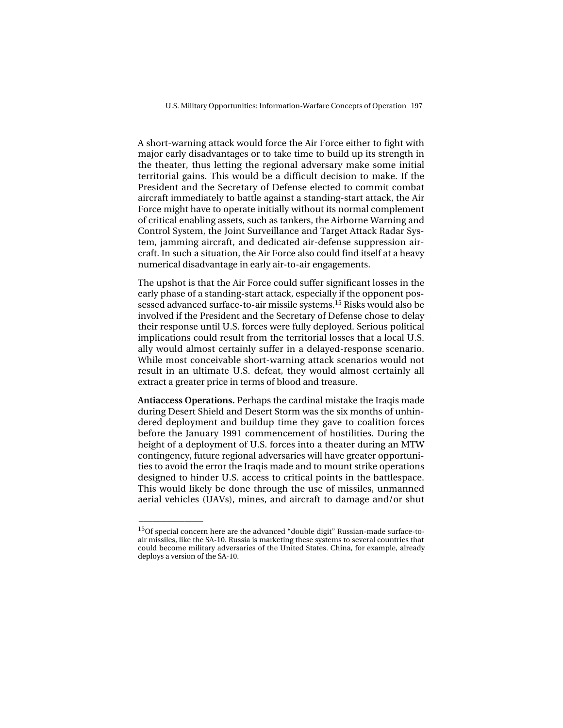A short-warning attack would force the Air Force either to fight with major early disadvantages or to take time to build up its strength in the theater, thus letting the regional adversary make some initial territorial gains. This would be a difficult decision to make. If the President and the Secretary of Defense elected to commit combat aircraft immediately to battle against a standing-start attack, the Air Force might have to operate initially without its normal complement of critical enabling assets, such as tankers, the Airborne Warning and Control System, the Joint Surveillance and Target Attack Radar System, jamming aircraft, and dedicated air-defense suppression aircraft. In such a situation, the Air Force also could find itself at a heavy numerical disadvantage in early air-to-air engagements.

The upshot is that the Air Force could suffer significant losses in the early phase of a standing-start attack, especially if the opponent possessed advanced surface-to-air missile systems.15 Risks would also be involved if the President and the Secretary of Defense chose to delay their response until U.S. forces were fully deployed. Serious political implications could result from the territorial losses that a local U.S. ally would almost certainly suffer in a delayed-response scenario. While most conceivable short-warning attack scenarios would not result in an ultimate U.S. defeat, they would almost certainly all extract a greater price in terms of blood and treasure.

**Antiaccess Operations.** Perhaps the cardinal mistake the Iraqis made during Desert Shield and Desert Storm was the six months of unhindered deployment and buildup time they gave to coalition forces before the January 1991 commencement of hostilities. During the height of a deployment of U.S. forces into a theater during an MTW contingency, future regional adversaries will have greater opportunities to avoid the error the Iraqis made and to mount strike operations designed to hinder U.S. access to critical points in the battlespace. This would likely be done through the use of missiles, unmanned aerial vehicles (UAVs), mines, and aircraft to damage and/or shut

<sup>15</sup>Of special concern here are the advanced "double digit" Russian-made surface-toair missiles, like the SA-10. Russia is marketing these systems to several countries that could become military adversaries of the United States. China, for example, already deploys a version of the SA-10.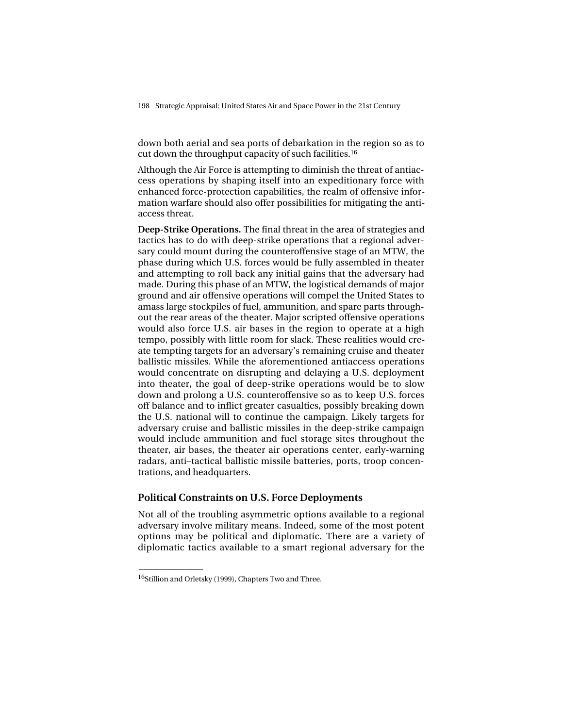down both aerial and sea ports of debarkation in the region so as to cut down the throughput capacity of such facilities.16

Although the Air Force is attempting to diminish the threat of antiaccess operations by shaping itself into an expeditionary force with enhanced force-protection capabilities, the realm of offensive information warfare should also offer possibilities for mitigating the antiaccess threat.

**Deep-Strike Operations.** The final threat in the area of strategies and tactics has to do with deep-strike operations that a regional adversary could mount during the counteroffensive stage of an MTW, the phase during which U.S. forces would be fully assembled in theater and attempting to roll back any initial gains that the adversary had made. During this phase of an MTW, the logistical demands of major ground and air offensive operations will compel the United States to amass large stockpiles of fuel, ammunition, and spare parts throughout the rear areas of the theater. Major scripted offensive operations would also force U.S. air bases in the region to operate at a high tempo, possibly with little room for slack. These realities would create tempting targets for an adversary's remaining cruise and theater ballistic missiles. While the aforementioned antiaccess operations would concentrate on disrupting and delaying a U.S. deployment into theater, the goal of deep-strike operations would be to slow down and prolong a U.S. counteroffensive so as to keep U.S. forces off balance and to inflict greater casualties, possibly breaking down the U.S. national will to continue the campaign. Likely targets for adversary cruise and ballistic missiles in the deep-strike campaign would include ammunition and fuel storage sites throughout the theater, air bases, the theater air operations center, early-warning radars, anti–tactical ballistic missile batteries, ports, troop concentrations, and headquarters.

## **Political Constraints on U.S. Force Deployments**

Not all of the troubling asymmetric options available to a regional adversary involve military means. Indeed, some of the most potent options may be political and diplomatic. There are a variety of diplomatic tactics available to a smart regional adversary for the

<sup>16</sup>Stillion and Orletsky (1999), Chapters Two and Three.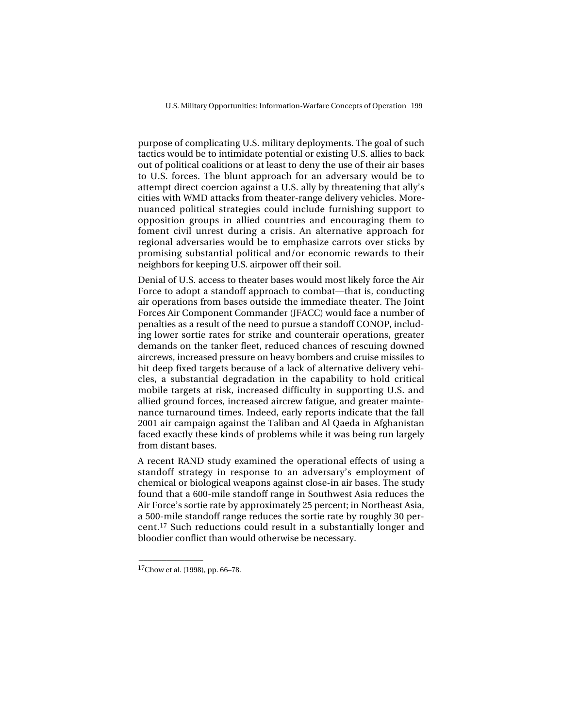purpose of complicating U.S. military deployments. The goal of such tactics would be to intimidate potential or existing U.S. allies to back out of political coalitions or at least to deny the use of their air bases to U.S. forces. The blunt approach for an adversary would be to attempt direct coercion against a U.S. ally by threatening that ally's cities with WMD attacks from theater-range delivery vehicles. Morenuanced political strategies could include furnishing support to opposition groups in allied countries and encouraging them to foment civil unrest during a crisis. An alternative approach for regional adversaries would be to emphasize carrots over sticks by promising substantial political and/or economic rewards to their neighbors for keeping U.S. airpower off their soil.

Denial of U.S. access to theater bases would most likely force the Air Force to adopt a standoff approach to combat—that is, conducting air operations from bases outside the immediate theater. The Joint Forces Air Component Commander (JFACC) would face a number of penalties as a result of the need to pursue a standoff CONOP, including lower sortie rates for strike and counterair operations, greater demands on the tanker fleet, reduced chances of rescuing downed aircrews, increased pressure on heavy bombers and cruise missiles to hit deep fixed targets because of a lack of alternative delivery vehicles, a substantial degradation in the capability to hold critical mobile targets at risk, increased difficulty in supporting U.S. and allied ground forces, increased aircrew fatigue, and greater maintenance turnaround times. Indeed, early reports indicate that the fall 2001 air campaign against the Taliban and Al Qaeda in Afghanistan faced exactly these kinds of problems while it was being run largely from distant bases.

A recent RAND study examined the operational effects of using a standoff strategy in response to an adversary's employment of chemical or biological weapons against close-in air bases. The study found that a 600-mile standoff range in Southwest Asia reduces the Air Force's sortie rate by approximately 25 percent; in Northeast Asia, a 500-mile standoff range reduces the sortie rate by roughly 30 percent.17 Such reductions could result in a substantially longer and bloodier conflict than would otherwise be necessary.

\_\_\_\_\_\_\_\_\_\_\_\_\_\_

<sup>17</sup>Chow et al. (1998), pp. 66–78.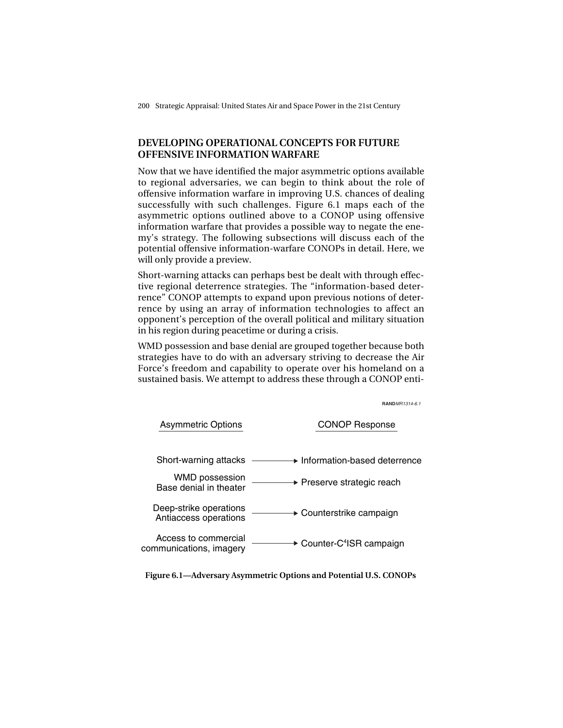# **DEVELOPING OPERATIONAL CONCEPTS FOR FUTURE OFFENSIVE INFORMATION WARFARE**

Now that we have identified the major asymmetric options available to regional adversaries, we can begin to think about the role of offensive information warfare in improving U.S. chances of dealing successfully with such challenges. Figure 6.1 maps each of the asymmetric options outlined above to a CONOP using offensive information warfare that provides a possible way to negate the enemy's strategy. The following subsections will discuss each of the potential offensive information-warfare CONOPs in detail. Here, we will only provide a preview.

Short-warning attacks can perhaps best be dealt with through effective regional deterrence strategies. The "information-based deterrence" CONOP attempts to expand upon previous notions of deterrence by using an array of information technologies to affect an opponent's perception of the overall political and military situation in his region during peacetime or during a crisis.

WMD possession and base denial are grouped together because both strategies have to do with an adversary striving to decrease the Air Force's freedom and capability to operate over his homeland on a sustained basis. We attempt to address these through a CONOP enti-

**RAND**MR1314-6.1

| Asymmetric Options                              | <b>CONOP Response</b>                 |  |  |
|-------------------------------------------------|---------------------------------------|--|--|
| Short-warning attacks                           | > Information-based deterrence        |  |  |
| WMD possession<br>Base denial in theater        | → Preserve strategic reach            |  |  |
| Deep-strike operations<br>Antiaccess operations | → Counterstrike campaign              |  |  |
| Access to commercial<br>communications, imagery | ◆ Counter-C <sup>4</sup> ISR campaign |  |  |

**Figure 6.1—Adversary Asymmetric Options and Potential U.S. CONOPs**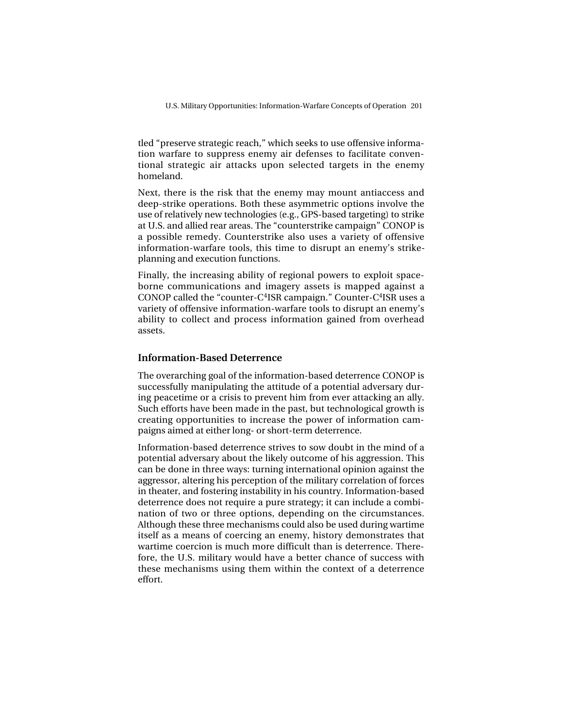tled "preserve strategic reach," which seeks to use offensive information warfare to suppress enemy air defenses to facilitate conventional strategic air attacks upon selected targets in the enemy homeland.

Next, there is the risk that the enemy may mount antiaccess and deep-strike operations. Both these asymmetric options involve the use of relatively new technologies (e.g., GPS-based targeting) to strike at U.S. and allied rear areas. The "counterstrike campaign" CONOP is a possible remedy. Counterstrike also uses a variety of offensive information-warfare tools, this time to disrupt an enemy's strikeplanning and execution functions.

Finally, the increasing ability of regional powers to exploit spaceborne communications and imagery assets is mapped against a CONOP called the "counter-C<sup>4</sup>ISR campaign." Counter-C<sup>4</sup>ISR uses a variety of offensive information-warfare tools to disrupt an enemy's ability to collect and process information gained from overhead assets.

## **Information-Based Deterrence**

The overarching goal of the information-based deterrence CONOP is successfully manipulating the attitude of a potential adversary during peacetime or a crisis to prevent him from ever attacking an ally. Such efforts have been made in the past, but technological growth is creating opportunities to increase the power of information campaigns aimed at either long- or short-term deterrence.

Information-based deterrence strives to sow doubt in the mind of a potential adversary about the likely outcome of his aggression. This can be done in three ways: turning international opinion against the aggressor, altering his perception of the military correlation of forces in theater, and fostering instability in his country. Information-based deterrence does not require a pure strategy; it can include a combination of two or three options, depending on the circumstances. Although these three mechanisms could also be used during wartime itself as a means of coercing an enemy, history demonstrates that wartime coercion is much more difficult than is deterrence. Therefore, the U.S. military would have a better chance of success with these mechanisms using them within the context of a deterrence effort.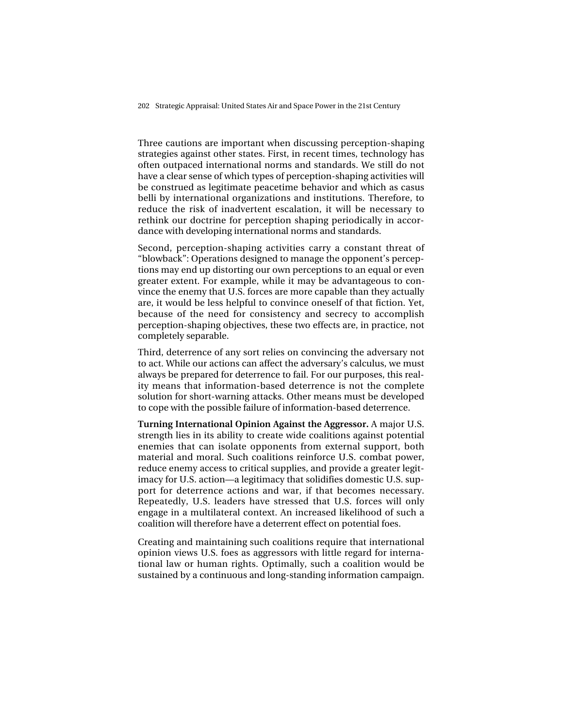Three cautions are important when discussing perception-shaping strategies against other states. First, in recent times, technology has often outpaced international norms and standards. We still do not have a clear sense of which types of perception-shaping activities will be construed as legitimate peacetime behavior and which as casus belli by international organizations and institutions. Therefore, to reduce the risk of inadvertent escalation, it will be necessary to rethink our doctrine for perception shaping periodically in accordance with developing international norms and standards.

Second, perception-shaping activities carry a constant threat of "blowback": Operations designed to manage the opponent's perceptions may end up distorting our own perceptions to an equal or even greater extent. For example, while it may be advantageous to convince the enemy that U.S. forces are more capable than they actually are, it would be less helpful to convince oneself of that fiction. Yet, because of the need for consistency and secrecy to accomplish perception-shaping objectives, these two effects are, in practice, not completely separable.

Third, deterrence of any sort relies on convincing the adversary not to act. While our actions can affect the adversary's calculus, we must always be prepared for deterrence to fail. For our purposes, this reality means that information-based deterrence is not the complete solution for short-warning attacks. Other means must be developed to cope with the possible failure of information-based deterrence.

**Turning International Opinion Against the Aggressor.** A major U.S. strength lies in its ability to create wide coalitions against potential enemies that can isolate opponents from external support, both material and moral. Such coalitions reinforce U.S. combat power, reduce enemy access to critical supplies, and provide a greater legitimacy for U.S. action—a legitimacy that solidifies domestic U.S. support for deterrence actions and war, if that becomes necessary. Repeatedly, U.S. leaders have stressed that U.S. forces will only engage in a multilateral context. An increased likelihood of such a coalition will therefore have a deterrent effect on potential foes.

Creating and maintaining such coalitions require that international opinion views U.S. foes as aggressors with little regard for international law or human rights. Optimally, such a coalition would be sustained by a continuous and long-standing information campaign.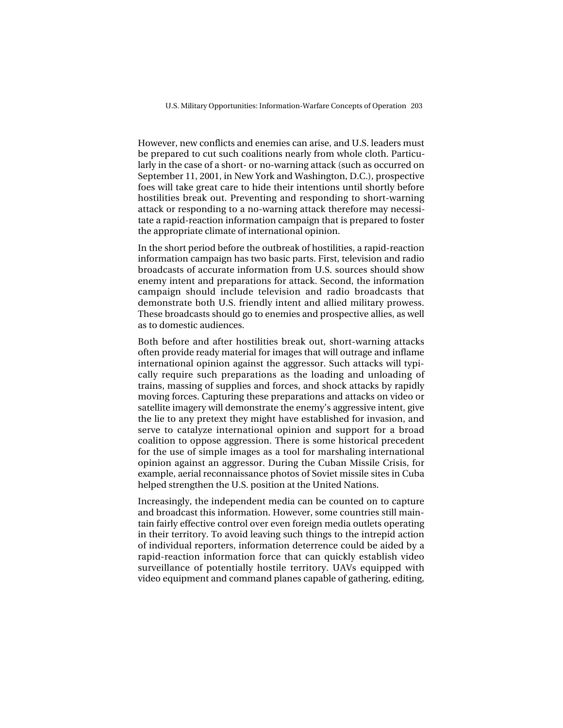However, new conflicts and enemies can arise, and U.S. leaders must be prepared to cut such coalitions nearly from whole cloth. Particularly in the case of a short- or no-warning attack (such as occurred on September 11, 2001, in New York and Washington, D.C.), prospective foes will take great care to hide their intentions until shortly before hostilities break out. Preventing and responding to short-warning attack or responding to a no-warning attack therefore may necessitate a rapid-reaction information campaign that is prepared to foster the appropriate climate of international opinion.

In the short period before the outbreak of hostilities, a rapid-reaction information campaign has two basic parts. First, television and radio broadcasts of accurate information from U.S. sources should show enemy intent and preparations for attack. Second, the information campaign should include television and radio broadcasts that demonstrate both U.S. friendly intent and allied military prowess. These broadcasts should go to enemies and prospective allies, as well as to domestic audiences.

Both before and after hostilities break out, short-warning attacks often provide ready material for images that will outrage and inflame international opinion against the aggressor. Such attacks will typically require such preparations as the loading and unloading of trains, massing of supplies and forces, and shock attacks by rapidly moving forces. Capturing these preparations and attacks on video or satellite imagery will demonstrate the enemy's aggressive intent, give the lie to any pretext they might have established for invasion, and serve to catalyze international opinion and support for a broad coalition to oppose aggression. There is some historical precedent for the use of simple images as a tool for marshaling international opinion against an aggressor. During the Cuban Missile Crisis, for example, aerial reconnaissance photos of Soviet missile sites in Cuba helped strengthen the U.S. position at the United Nations.

Increasingly, the independent media can be counted on to capture and broadcast this information. However, some countries still maintain fairly effective control over even foreign media outlets operating in their territory. To avoid leaving such things to the intrepid action of individual reporters, information deterrence could be aided by a rapid-reaction information force that can quickly establish video surveillance of potentially hostile territory. UAVs equipped with video equipment and command planes capable of gathering, editing,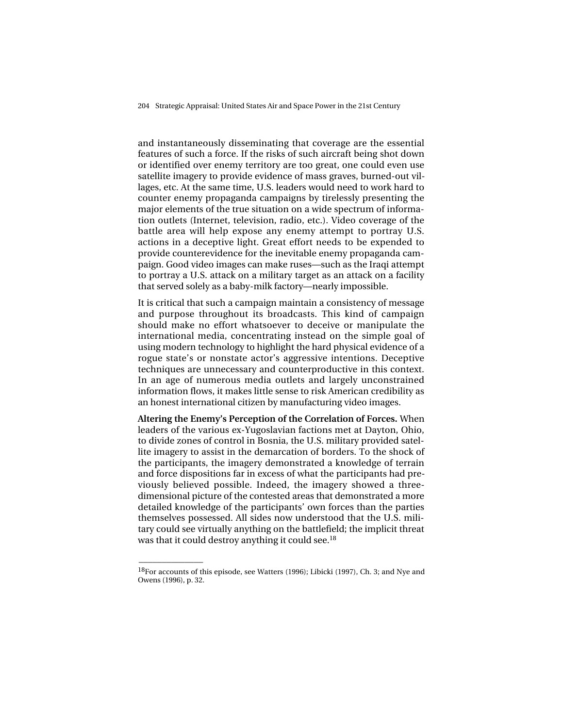and instantaneously disseminating that coverage are the essential features of such a force. If the risks of such aircraft being shot down or identified over enemy territory are too great, one could even use satellite imagery to provide evidence of mass graves, burned-out villages, etc. At the same time, U.S. leaders would need to work hard to counter enemy propaganda campaigns by tirelessly presenting the major elements of the true situation on a wide spectrum of information outlets (Internet, television, radio, etc.). Video coverage of the battle area will help expose any enemy attempt to portray U.S. actions in a deceptive light. Great effort needs to be expended to provide counterevidence for the inevitable enemy propaganda campaign. Good video images can make ruses—such as the Iraqi attempt to portray a U.S. attack on a military target as an attack on a facility that served solely as a baby-milk factory—nearly impossible.

It is critical that such a campaign maintain a consistency of message and purpose throughout its broadcasts. This kind of campaign should make no effort whatsoever to deceive or manipulate the international media, concentrating instead on the simple goal of using modern technology to highlight the hard physical evidence of a rogue state's or nonstate actor's aggressive intentions. Deceptive techniques are unnecessary and counterproductive in this context. In an age of numerous media outlets and largely unconstrained information flows, it makes little sense to risk American credibility as an honest international citizen by manufacturing video images.

**Altering the Enemy's Perception of the Correlation of Forces.** When leaders of the various ex-Yugoslavian factions met at Dayton, Ohio, to divide zones of control in Bosnia, the U.S. military provided satellite imagery to assist in the demarcation of borders. To the shock of the participants, the imagery demonstrated a knowledge of terrain and force dispositions far in excess of what the participants had previously believed possible. Indeed, the imagery showed a threedimensional picture of the contested areas that demonstrated a more detailed knowledge of the participants' own forces than the parties themselves possessed. All sides now understood that the U.S. military could see virtually anything on the battlefield; the implicit threat was that it could destroy anything it could see.<sup>18</sup>

\_\_\_\_\_\_\_\_\_\_\_\_\_\_

<sup>18</sup>For accounts of this episode, see Watters (1996); Libicki (1997), Ch. 3; and Nye and Owens (1996), p. 32.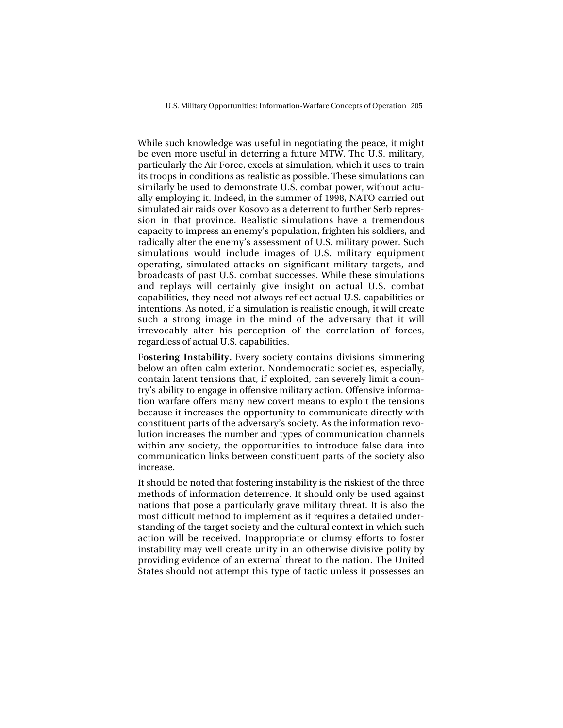While such knowledge was useful in negotiating the peace, it might be even more useful in deterring a future MTW. The U.S. military, particularly the Air Force, excels at simulation, which it uses to train its troops in conditions as realistic as possible. These simulations can similarly be used to demonstrate U.S. combat power, without actually employing it. Indeed, in the summer of 1998, NATO carried out simulated air raids over Kosovo as a deterrent to further Serb repression in that province. Realistic simulations have a tremendous capacity to impress an enemy's population, frighten his soldiers, and radically alter the enemy's assessment of U.S. military power. Such simulations would include images of U.S. military equipment operating, simulated attacks on significant military targets, and broadcasts of past U.S. combat successes. While these simulations and replays will certainly give insight on actual U.S. combat capabilities, they need not always reflect actual U.S. capabilities or intentions. As noted, if a simulation is realistic enough, it will create such a strong image in the mind of the adversary that it will irrevocably alter his perception of the correlation of forces, regardless of actual U.S. capabilities.

**Fostering Instability.** Every society contains divisions simmering below an often calm exterior. Nondemocratic societies, especially, contain latent tensions that, if exploited, can severely limit a country's ability to engage in offensive military action. Offensive information warfare offers many new covert means to exploit the tensions because it increases the opportunity to communicate directly with constituent parts of the adversary's society. As the information revolution increases the number and types of communication channels within any society, the opportunities to introduce false data into communication links between constituent parts of the society also increase.

It should be noted that fostering instability is the riskiest of the three methods of information deterrence. It should only be used against nations that pose a particularly grave military threat. It is also the most difficult method to implement as it requires a detailed understanding of the target society and the cultural context in which such action will be received. Inappropriate or clumsy efforts to foster instability may well create unity in an otherwise divisive polity by providing evidence of an external threat to the nation. The United States should not attempt this type of tactic unless it possesses an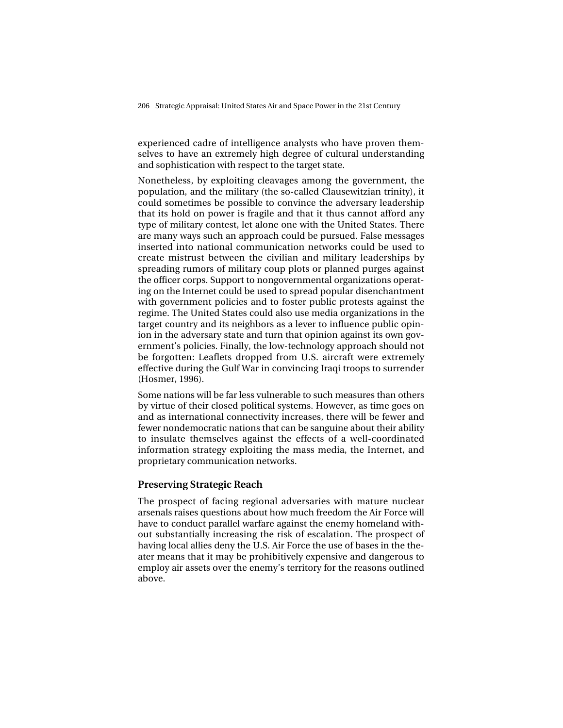experienced cadre of intelligence analysts who have proven themselves to have an extremely high degree of cultural understanding and sophistication with respect to the target state.

Nonetheless, by exploiting cleavages among the government, the population, and the military (the so-called Clausewitzian trinity), it could sometimes be possible to convince the adversary leadership that its hold on power is fragile and that it thus cannot afford any type of military contest, let alone one with the United States. There are many ways such an approach could be pursued. False messages inserted into national communication networks could be used to create mistrust between the civilian and military leaderships by spreading rumors of military coup plots or planned purges against the officer corps. Support to nongovernmental organizations operating on the Internet could be used to spread popular disenchantment with government policies and to foster public protests against the regime. The United States could also use media organizations in the target country and its neighbors as a lever to influence public opinion in the adversary state and turn that opinion against its own government's policies. Finally, the low-technology approach should not be forgotten: Leaflets dropped from U.S. aircraft were extremely effective during the Gulf War in convincing Iraqi troops to surrender (Hosmer, 1996).

Some nations will be far less vulnerable to such measures than others by virtue of their closed political systems. However, as time goes on and as international connectivity increases, there will be fewer and fewer nondemocratic nations that can be sanguine about their ability to insulate themselves against the effects of a well-coordinated information strategy exploiting the mass media, the Internet, and proprietary communication networks.

## **Preserving Strategic Reach**

The prospect of facing regional adversaries with mature nuclear arsenals raises questions about how much freedom the Air Force will have to conduct parallel warfare against the enemy homeland without substantially increasing the risk of escalation. The prospect of having local allies deny the U.S. Air Force the use of bases in the theater means that it may be prohibitively expensive and dangerous to employ air assets over the enemy's territory for the reasons outlined above.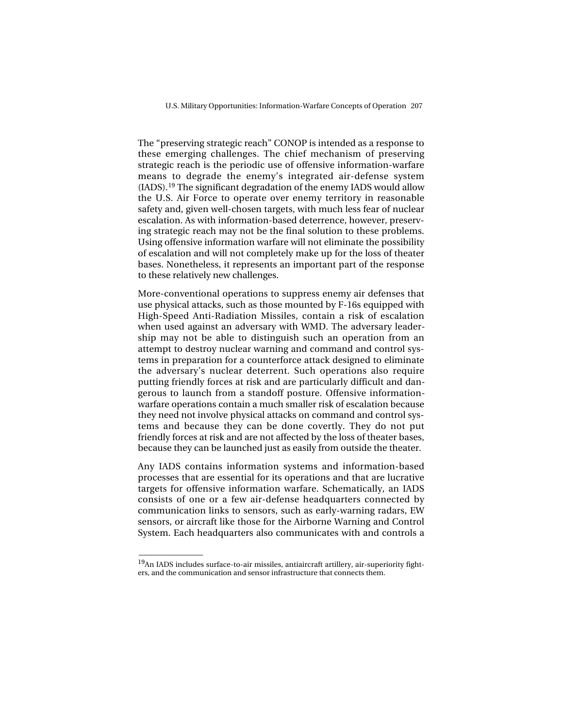The "preserving strategic reach" CONOP is intended as a response to these emerging challenges. The chief mechanism of preserving strategic reach is the periodic use of offensive information-warfare means to degrade the enemy's integrated air-defense system (IADS).19 The significant degradation of the enemy IADS would allow the U.S. Air Force to operate over enemy territory in reasonable safety and, given well-chosen targets, with much less fear of nuclear escalation. As with information-based deterrence, however, preserving strategic reach may not be the final solution to these problems. Using offensive information warfare will not eliminate the possibility of escalation and will not completely make up for the loss of theater bases. Nonetheless, it represents an important part of the response to these relatively new challenges.

More-conventional operations to suppress enemy air defenses that use physical attacks, such as those mounted by F-16s equipped with High-Speed Anti-Radiation Missiles, contain a risk of escalation when used against an adversary with WMD. The adversary leadership may not be able to distinguish such an operation from an attempt to destroy nuclear warning and command and control systems in preparation for a counterforce attack designed to eliminate the adversary's nuclear deterrent. Such operations also require putting friendly forces at risk and are particularly difficult and dangerous to launch from a standoff posture. Offensive informationwarfare operations contain a much smaller risk of escalation because they need not involve physical attacks on command and control systems and because they can be done covertly. They do not put friendly forces at risk and are not affected by the loss of theater bases, because they can be launched just as easily from outside the theater.

Any IADS contains information systems and information-based processes that are essential for its operations and that are lucrative targets for offensive information warfare. Schematically, an IADS consists of one or a few air-defense headquarters connected by communication links to sensors, such as early-warning radars, EW sensors, or aircraft like those for the Airborne Warning and Control System. Each headquarters also communicates with and controls a

<sup>19</sup>An IADS includes surface-to-air missiles, antiaircraft artillery, air-superiority fighters, and the communication and sensor infrastructure that connects them.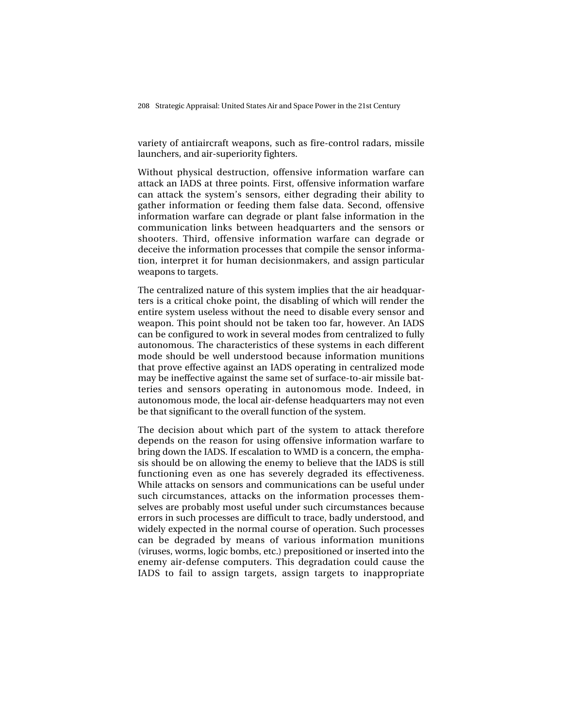variety of antiaircraft weapons, such as fire-control radars, missile launchers, and air-superiority fighters.

Without physical destruction, offensive information warfare can attack an IADS at three points. First, offensive information warfare can attack the system's sensors, either degrading their ability to gather information or feeding them false data. Second, offensive information warfare can degrade or plant false information in the communication links between headquarters and the sensors or shooters. Third, offensive information warfare can degrade or deceive the information processes that compile the sensor information, interpret it for human decisionmakers, and assign particular weapons to targets.

The centralized nature of this system implies that the air headquarters is a critical choke point, the disabling of which will render the entire system useless without the need to disable every sensor and weapon. This point should not be taken too far, however. An IADS can be configured to work in several modes from centralized to fully autonomous. The characteristics of these systems in each different mode should be well understood because information munitions that prove effective against an IADS operating in centralized mode may be ineffective against the same set of surface-to-air missile batteries and sensors operating in autonomous mode. Indeed, in autonomous mode, the local air-defense headquarters may not even be that significant to the overall function of the system.

The decision about which part of the system to attack therefore depends on the reason for using offensive information warfare to bring down the IADS. If escalation to WMD is a concern, the emphasis should be on allowing the enemy to believe that the IADS is still functioning even as one has severely degraded its effectiveness. While attacks on sensors and communications can be useful under such circumstances, attacks on the information processes themselves are probably most useful under such circumstances because errors in such processes are difficult to trace, badly understood, and widely expected in the normal course of operation. Such processes can be degraded by means of various information munitions (viruses, worms, logic bombs, etc.) prepositioned or inserted into the enemy air-defense computers. This degradation could cause the IADS to fail to assign targets, assign targets to inappropriate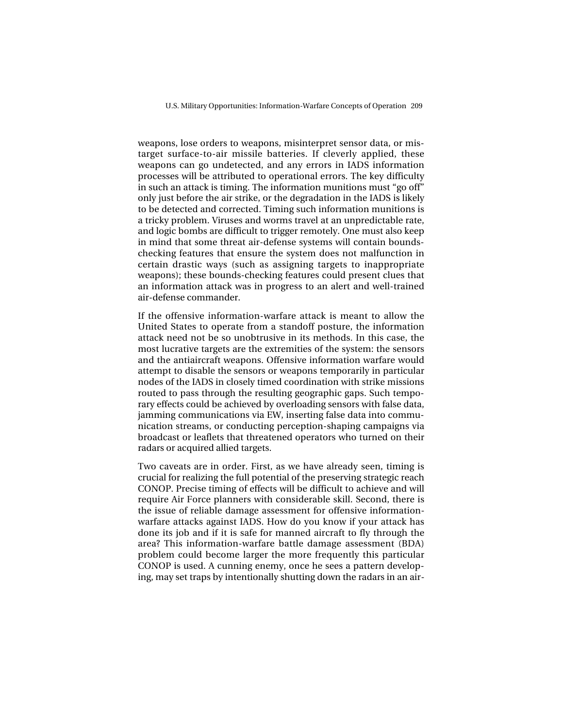weapons, lose orders to weapons, misinterpret sensor data, or mistarget surface-to-air missile batteries. If cleverly applied, these weapons can go undetected, and any errors in IADS information processes will be attributed to operational errors. The key difficulty in such an attack is timing. The information munitions must "go off" only just before the air strike, or the degradation in the IADS is likely to be detected and corrected. Timing such information munitions is a tricky problem. Viruses and worms travel at an unpredictable rate, and logic bombs are difficult to trigger remotely. One must also keep in mind that some threat air-defense systems will contain boundschecking features that ensure the system does not malfunction in certain drastic ways (such as assigning targets to inappropriate weapons); these bounds-checking features could present clues that an information attack was in progress to an alert and well-trained air-defense commander.

If the offensive information-warfare attack is meant to allow the United States to operate from a standoff posture, the information attack need not be so unobtrusive in its methods. In this case, the most lucrative targets are the extremities of the system: the sensors and the antiaircraft weapons. Offensive information warfare would attempt to disable the sensors or weapons temporarily in particular nodes of the IADS in closely timed coordination with strike missions routed to pass through the resulting geographic gaps. Such temporary effects could be achieved by overloading sensors with false data, jamming communications via EW, inserting false data into communication streams, or conducting perception-shaping campaigns via broadcast or leaflets that threatened operators who turned on their radars or acquired allied targets.

Two caveats are in order. First, as we have already seen, timing is crucial for realizing the full potential of the preserving strategic reach CONOP. Precise timing of effects will be difficult to achieve and will require Air Force planners with considerable skill. Second, there is the issue of reliable damage assessment for offensive informationwarfare attacks against IADS. How do you know if your attack has done its job and if it is safe for manned aircraft to fly through the area? This information-warfare battle damage assessment (BDA) problem could become larger the more frequently this particular CONOP is used. A cunning enemy, once he sees a pattern developing, may set traps by intentionally shutting down the radars in an air-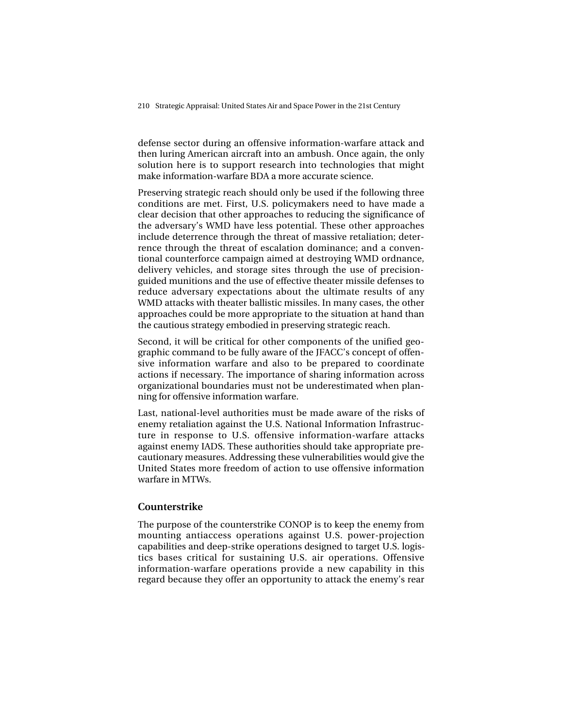defense sector during an offensive information-warfare attack and then luring American aircraft into an ambush. Once again, the only solution here is to support research into technologies that might make information-warfare BDA a more accurate science.

Preserving strategic reach should only be used if the following three conditions are met. First, U.S. policymakers need to have made a clear decision that other approaches to reducing the significance of the adversary's WMD have less potential. These other approaches include deterrence through the threat of massive retaliation; deterrence through the threat of escalation dominance; and a conventional counterforce campaign aimed at destroying WMD ordnance, delivery vehicles, and storage sites through the use of precisionguided munitions and the use of effective theater missile defenses to reduce adversary expectations about the ultimate results of any WMD attacks with theater ballistic missiles. In many cases, the other approaches could be more appropriate to the situation at hand than the cautious strategy embodied in preserving strategic reach.

Second, it will be critical for other components of the unified geographic command to be fully aware of the JFACC's concept of offensive information warfare and also to be prepared to coordinate actions if necessary. The importance of sharing information across organizational boundaries must not be underestimated when planning for offensive information warfare.

Last, national-level authorities must be made aware of the risks of enemy retaliation against the U.S. National Information Infrastructure in response to U.S. offensive information-warfare attacks against enemy IADS. These authorities should take appropriate precautionary measures. Addressing these vulnerabilities would give the United States more freedom of action to use offensive information warfare in MTWs.

## **Counterstrike**

The purpose of the counterstrike CONOP is to keep the enemy from mounting antiaccess operations against U.S. power-projection capabilities and deep-strike operations designed to target U.S. logistics bases critical for sustaining U.S. air operations. Offensive information-warfare operations provide a new capability in this regard because they offer an opportunity to attack the enemy's rear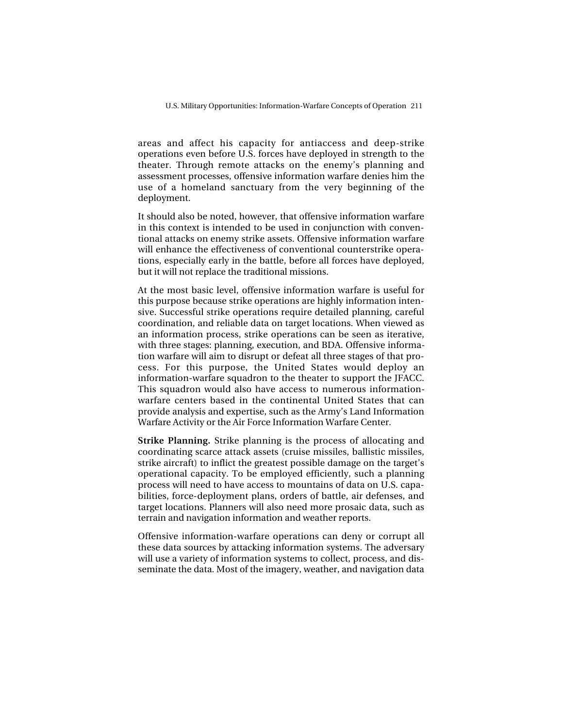areas and affect his capacity for antiaccess and deep-strike operations even before U.S. forces have deployed in strength to the theater. Through remote attacks on the enemy's planning and assessment processes, offensive information warfare denies him the use of a homeland sanctuary from the very beginning of the deployment.

It should also be noted, however, that offensive information warfare in this context is intended to be used in conjunction with conventional attacks on enemy strike assets. Offensive information warfare will enhance the effectiveness of conventional counterstrike operations, especially early in the battle, before all forces have deployed, but it will not replace the traditional missions.

At the most basic level, offensive information warfare is useful for this purpose because strike operations are highly information intensive. Successful strike operations require detailed planning, careful coordination, and reliable data on target locations. When viewed as an information process, strike operations can be seen as iterative, with three stages: planning, execution, and BDA. Offensive information warfare will aim to disrupt or defeat all three stages of that process. For this purpose, the United States would deploy an information-warfare squadron to the theater to support the JFACC. This squadron would also have access to numerous informationwarfare centers based in the continental United States that can provide analysis and expertise, such as the Army's Land Information Warfare Activity or the Air Force Information Warfare Center.

**Strike Planning.** Strike planning is the process of allocating and coordinating scarce attack assets (cruise missiles, ballistic missiles, strike aircraft) to inflict the greatest possible damage on the target's operational capacity. To be employed efficiently, such a planning process will need to have access to mountains of data on U.S. capabilities, force-deployment plans, orders of battle, air defenses, and target locations. Planners will also need more prosaic data, such as terrain and navigation information and weather reports.

Offensive information-warfare operations can deny or corrupt all these data sources by attacking information systems. The adversary will use a variety of information systems to collect, process, and disseminate the data. Most of the imagery, weather, and navigation data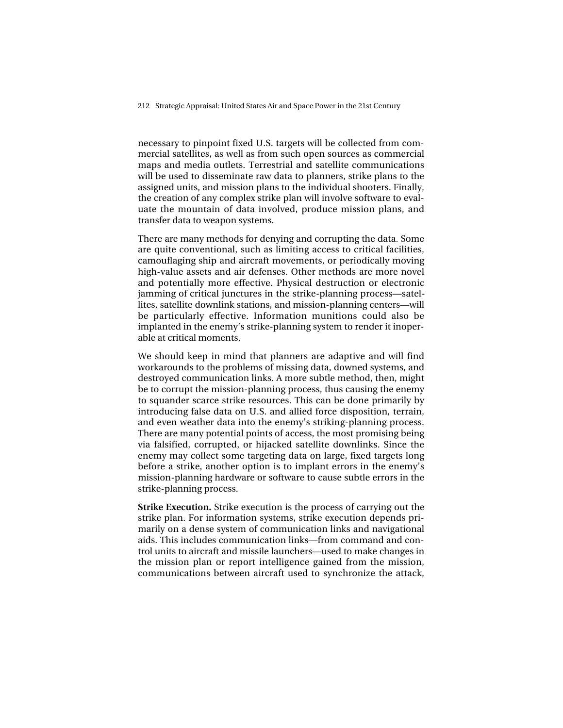necessary to pinpoint fixed U.S. targets will be collected from commercial satellites, as well as from such open sources as commercial maps and media outlets. Terrestrial and satellite communications will be used to disseminate raw data to planners, strike plans to the assigned units, and mission plans to the individual shooters. Finally, the creation of any complex strike plan will involve software to evaluate the mountain of data involved, produce mission plans, and transfer data to weapon systems.

There are many methods for denying and corrupting the data. Some are quite conventional, such as limiting access to critical facilities, camouflaging ship and aircraft movements, or periodically moving high-value assets and air defenses. Other methods are more novel and potentially more effective. Physical destruction or electronic jamming of critical junctures in the strike-planning process—satellites, satellite downlink stations, and mission-planning centers—will be particularly effective. Information munitions could also be implanted in the enemy's strike-planning system to render it inoperable at critical moments.

We should keep in mind that planners are adaptive and will find workarounds to the problems of missing data, downed systems, and destroyed communication links. A more subtle method, then, might be to corrupt the mission-planning process, thus causing the enemy to squander scarce strike resources. This can be done primarily by introducing false data on U.S. and allied force disposition, terrain, and even weather data into the enemy's striking-planning process. There are many potential points of access, the most promising being via falsified, corrupted, or hijacked satellite downlinks. Since the enemy may collect some targeting data on large, fixed targets long before a strike, another option is to implant errors in the enemy's mission-planning hardware or software to cause subtle errors in the strike-planning process.

**Strike Execution.** Strike execution is the process of carrying out the strike plan. For information systems, strike execution depends primarily on a dense system of communication links and navigational aids. This includes communication links—from command and control units to aircraft and missile launchers—used to make changes in the mission plan or report intelligence gained from the mission, communications between aircraft used to synchronize the attack,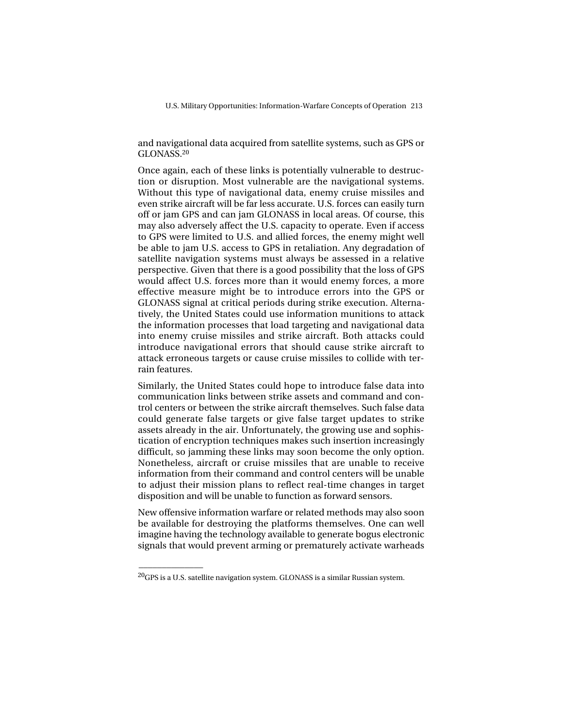and navigational data acquired from satellite systems, such as GPS or GLONASS.<sup>20</sup>

Once again, each of these links is potentially vulnerable to destruction or disruption. Most vulnerable are the navigational systems. Without this type of navigational data, enemy cruise missiles and even strike aircraft will be far less accurate. U.S. forces can easily turn off or jam GPS and can jam GLONASS in local areas. Of course, this may also adversely affect the U.S. capacity to operate. Even if access to GPS were limited to U.S. and allied forces, the enemy might well be able to jam U.S. access to GPS in retaliation. Any degradation of satellite navigation systems must always be assessed in a relative perspective. Given that there is a good possibility that the loss of GPS would affect U.S. forces more than it would enemy forces, a more effective measure might be to introduce errors into the GPS or GLONASS signal at critical periods during strike execution. Alternatively, the United States could use information munitions to attack the information processes that load targeting and navigational data into enemy cruise missiles and strike aircraft. Both attacks could introduce navigational errors that should cause strike aircraft to attack erroneous targets or cause cruise missiles to collide with terrain features.

Similarly, the United States could hope to introduce false data into communication links between strike assets and command and control centers or between the strike aircraft themselves. Such false data could generate false targets or give false target updates to strike assets already in the air. Unfortunately, the growing use and sophistication of encryption techniques makes such insertion increasingly difficult, so jamming these links may soon become the only option. Nonetheless, aircraft or cruise missiles that are unable to receive information from their command and control centers will be unable to adjust their mission plans to reflect real-time changes in target disposition and will be unable to function as forward sensors.

New offensive information warfare or related methods may also soon be available for destroying the platforms themselves. One can well imagine having the technology available to generate bogus electronic signals that would prevent arming or prematurely activate warheads

\_\_\_\_\_\_\_\_\_\_\_\_\_\_

 $^{20}$ GPS is a U.S. satellite navigation system. GLONASS is a similar Russian system.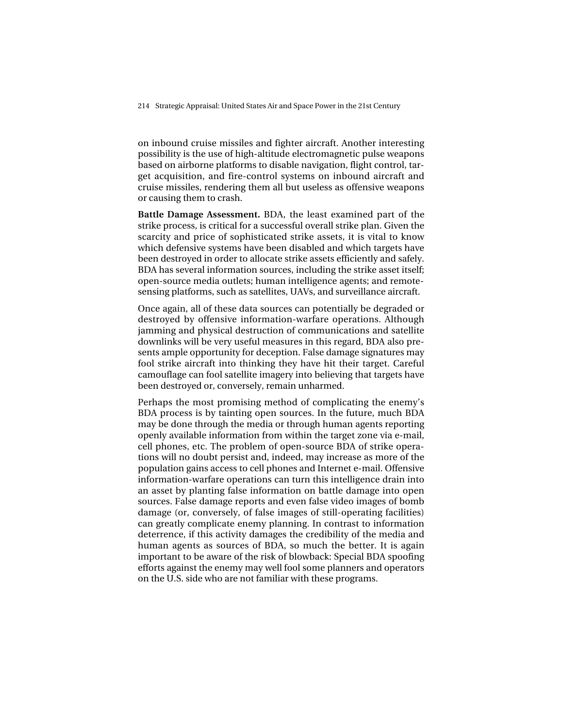on inbound cruise missiles and fighter aircraft. Another interesting possibility is the use of high-altitude electromagnetic pulse weapons based on airborne platforms to disable navigation, flight control, target acquisition, and fire-control systems on inbound aircraft and cruise missiles, rendering them all but useless as offensive weapons or causing them to crash.

**Battle Damage Assessment.** BDA, the least examined part of the strike process, is critical for a successful overall strike plan. Given the scarcity and price of sophisticated strike assets, it is vital to know which defensive systems have been disabled and which targets have been destroyed in order to allocate strike assets efficiently and safely. BDA has several information sources, including the strike asset itself; open-source media outlets; human intelligence agents; and remotesensing platforms, such as satellites, UAVs, and surveillance aircraft.

Once again, all of these data sources can potentially be degraded or destroyed by offensive information-warfare operations. Although jamming and physical destruction of communications and satellite downlinks will be very useful measures in this regard, BDA also presents ample opportunity for deception. False damage signatures may fool strike aircraft into thinking they have hit their target. Careful camouflage can fool satellite imagery into believing that targets have been destroyed or, conversely, remain unharmed.

Perhaps the most promising method of complicating the enemy's BDA process is by tainting open sources. In the future, much BDA may be done through the media or through human agents reporting openly available information from within the target zone via e-mail, cell phones, etc. The problem of open-source BDA of strike operations will no doubt persist and, indeed, may increase as more of the population gains access to cell phones and Internet e-mail. Offensive information-warfare operations can turn this intelligence drain into an asset by planting false information on battle damage into open sources. False damage reports and even false video images of bomb damage (or, conversely, of false images of still-operating facilities) can greatly complicate enemy planning. In contrast to information deterrence, if this activity damages the credibility of the media and human agents as sources of BDA, so much the better. It is again important to be aware of the risk of blowback: Special BDA spoofing efforts against the enemy may well fool some planners and operators on the U.S. side who are not familiar with these programs.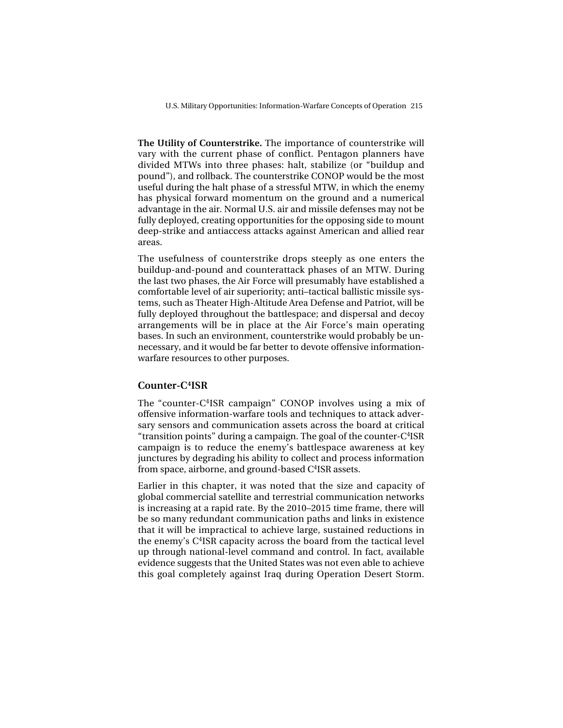**The Utility of Counterstrike.** The importance of counterstrike will vary with the current phase of conflict. Pentagon planners have divided MTWs into three phases: halt, stabilize (or "buildup and pound"), and rollback. The counterstrike CONOP would be the most useful during the halt phase of a stressful MTW, in which the enemy has physical forward momentum on the ground and a numerical advantage in the air. Normal U.S. air and missile defenses may not be fully deployed, creating opportunities for the opposing side to mount deep-strike and antiaccess attacks against American and allied rear areas.

The usefulness of counterstrike drops steeply as one enters the buildup-and-pound and counterattack phases of an MTW. During the last two phases, the Air Force will presumably have established a comfortable level of air superiority; anti–tactical ballistic missile systems, such as Theater High-Altitude Area Defense and Patriot, will be fully deployed throughout the battlespace; and dispersal and decoy arrangements will be in place at the Air Force's main operating bases. In such an environment, counterstrike would probably be unnecessary, and it would be far better to devote offensive informationwarfare resources to other purposes.

## **Counter-C4ISR**

The "counter-C4ISR campaign" CONOP involves using a mix of offensive information-warfare tools and techniques to attack adversary sensors and communication assets across the board at critical "transition points" during a campaign. The goal of the counter-C4ISR campaign is to reduce the enemy's battlespace awareness at key junctures by degrading his ability to collect and process information from space, airborne, and ground-based C<sup>4</sup>ISR assets.

Earlier in this chapter, it was noted that the size and capacity of global commercial satellite and terrestrial communication networks is increasing at a rapid rate. By the 2010–2015 time frame, there will be so many redundant communication paths and links in existence that it will be impractical to achieve large, sustained reductions in the enemy's C4ISR capacity across the board from the tactical level up through national-level command and control. In fact, available evidence suggests that the United States was not even able to achieve this goal completely against Iraq during Operation Desert Storm.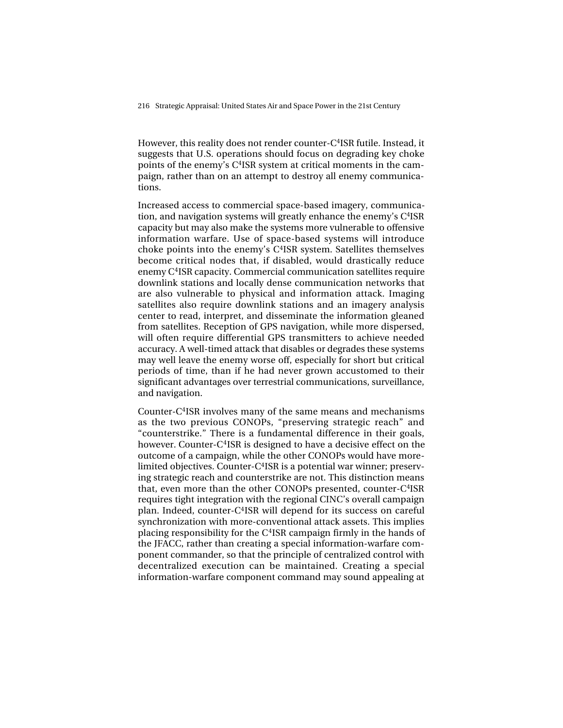However, this reality does not render counter-C4ISR futile. Instead, it suggests that U.S. operations should focus on degrading key choke points of the enemy's C4ISR system at critical moments in the campaign, rather than on an attempt to destroy all enemy communications.

Increased access to commercial space-based imagery, communication, and navigation systems will greatly enhance the enemy's C<sup>4</sup>ISR capacity but may also make the systems more vulnerable to offensive information warfare. Use of space-based systems will introduce choke points into the enemy's  $C<sup>4</sup>ISR$  system. Satellites themselves become critical nodes that, if disabled, would drastically reduce enemy C4ISR capacity. Commercial communication satellites require downlink stations and locally dense communication networks that are also vulnerable to physical and information attack. Imaging satellites also require downlink stations and an imagery analysis center to read, interpret, and disseminate the information gleaned from satellites. Reception of GPS navigation, while more dispersed, will often require differential GPS transmitters to achieve needed accuracy. A well-timed attack that disables or degrades these systems may well leave the enemy worse off, especially for short but critical periods of time, than if he had never grown accustomed to their significant advantages over terrestrial communications, surveillance, and navigation.

Counter-C4ISR involves many of the same means and mechanisms as the two previous CONOPs, "preserving strategic reach" and "counterstrike." There is a fundamental difference in their goals, however. Counter-C<sup>4</sup>ISR is designed to have a decisive effect on the outcome of a campaign, while the other CONOPs would have morelimited objectives. Counter-C<sup>4</sup>ISR is a potential war winner; preserving strategic reach and counterstrike are not. This distinction means that, even more than the other CONOPs presented, counter-C<sup>4</sup>ISR requires tight integration with the regional CINC's overall campaign plan. Indeed, counter-C4ISR will depend for its success on careful synchronization with more-conventional attack assets. This implies placing responsibility for the C4ISR campaign firmly in the hands of the JFACC, rather than creating a special information-warfare component commander, so that the principle of centralized control with decentralized execution can be maintained. Creating a special information-warfare component command may sound appealing at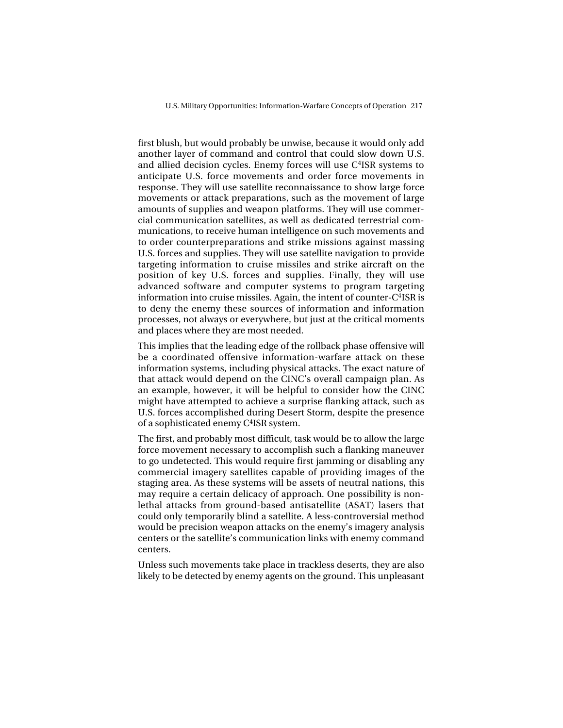first blush, but would probably be unwise, because it would only add another layer of command and control that could slow down U.S. and allied decision cycles. Enemy forces will use C4ISR systems to anticipate U.S. force movements and order force movements in response. They will use satellite reconnaissance to show large force movements or attack preparations, such as the movement of large amounts of supplies and weapon platforms. They will use commercial communication satellites, as well as dedicated terrestrial communications, to receive human intelligence on such movements and to order counterpreparations and strike missions against massing U.S. forces and supplies. They will use satellite navigation to provide targeting information to cruise missiles and strike aircraft on the position of key U.S. forces and supplies. Finally, they will use advanced software and computer systems to program targeting information into cruise missiles. Again, the intent of counter-C<sup>4</sup>ISR is to deny the enemy these sources of information and information processes, not always or everywhere, but just at the critical moments and places where they are most needed.

This implies that the leading edge of the rollback phase offensive will be a coordinated offensive information-warfare attack on these information systems, including physical attacks. The exact nature of that attack would depend on the CINC's overall campaign plan. As an example, however, it will be helpful to consider how the CINC might have attempted to achieve a surprise flanking attack, such as U.S. forces accomplished during Desert Storm, despite the presence of a sophisticated enemy C<sup>4</sup>ISR system.

The first, and probably most difficult, task would be to allow the large force movement necessary to accomplish such a flanking maneuver to go undetected. This would require first jamming or disabling any commercial imagery satellites capable of providing images of the staging area. As these systems will be assets of neutral nations, this may require a certain delicacy of approach. One possibility is nonlethal attacks from ground-based antisatellite (ASAT) lasers that could only temporarily blind a satellite. A less-controversial method would be precision weapon attacks on the enemy's imagery analysis centers or the satellite's communication links with enemy command centers.

Unless such movements take place in trackless deserts, they are also likely to be detected by enemy agents on the ground. This unpleasant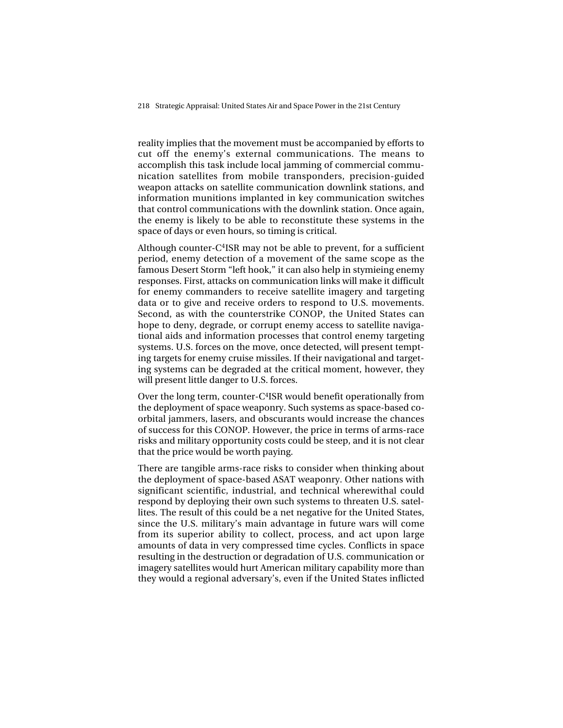reality implies that the movement must be accompanied by efforts to cut off the enemy's external communications. The means to accomplish this task include local jamming of commercial communication satellites from mobile transponders, precision-guided weapon attacks on satellite communication downlink stations, and information munitions implanted in key communication switches that control communications with the downlink station. Once again, the enemy is likely to be able to reconstitute these systems in the space of days or even hours, so timing is critical.

Although counter-C<sup>4</sup>ISR may not be able to prevent, for a sufficient period, enemy detection of a movement of the same scope as the famous Desert Storm "left hook," it can also help in stymieing enemy responses. First, attacks on communication links will make it difficult for enemy commanders to receive satellite imagery and targeting data or to give and receive orders to respond to U.S. movements. Second, as with the counterstrike CONOP, the United States can hope to deny, degrade, or corrupt enemy access to satellite navigational aids and information processes that control enemy targeting systems. U.S. forces on the move, once detected, will present tempting targets for enemy cruise missiles. If their navigational and targeting systems can be degraded at the critical moment, however, they will present little danger to U.S. forces.

Over the long term, counter- $C<sup>4</sup>$ ISR would benefit operationally from the deployment of space weaponry. Such systems as space-based coorbital jammers, lasers, and obscurants would increase the chances of success for this CONOP. However, the price in terms of arms-race risks and military opportunity costs could be steep, and it is not clear that the price would be worth paying.

There are tangible arms-race risks to consider when thinking about the deployment of space-based ASAT weaponry. Other nations with significant scientific, industrial, and technical wherewithal could respond by deploying their own such systems to threaten U.S. satellites. The result of this could be a net negative for the United States, since the U.S. military's main advantage in future wars will come from its superior ability to collect, process, and act upon large amounts of data in very compressed time cycles. Conflicts in space resulting in the destruction or degradation of U.S. communication or imagery satellites would hurt American military capability more than they would a regional adversary's, even if the United States inflicted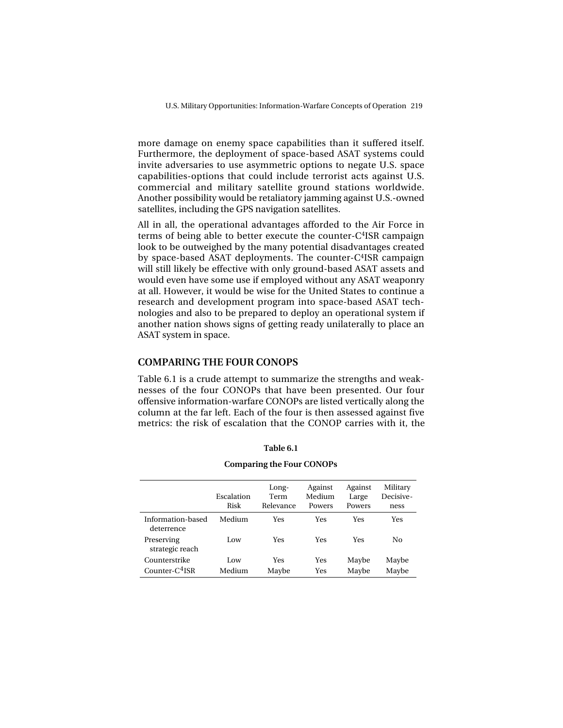more damage on enemy space capabilities than it suffered itself. Furthermore, the deployment of space-based ASAT systems could invite adversaries to use asymmetric options to negate U.S. space capabilities-options that could include terrorist acts against U.S. commercial and military satellite ground stations worldwide. Another possibility would be retaliatory jamming against U.S.-owned satellites, including the GPS navigation satellites.

All in all, the operational advantages afforded to the Air Force in terms of being able to better execute the counter-C<sup>4</sup>ISR campaign look to be outweighed by the many potential disadvantages created by space-based ASAT deployments. The counter-C<sup>4</sup>ISR campaign will still likely be effective with only ground-based ASAT assets and would even have some use if employed without any ASAT weaponry at all. However, it would be wise for the United States to continue a research and development program into space-based ASAT technologies and also to be prepared to deploy an operational system if another nation shows signs of getting ready unilaterally to place an ASAT system in space.

#### **COMPARING THE FOUR CONOPS**

Table 6.1 is a crude attempt to summarize the strengths and weaknesses of the four CONOPs that have been presented. Our four offensive information-warfare CONOPs are listed vertically along the column at the far left. Each of the four is then assessed against five metrics: the risk of escalation that the CONOP carries with it, the

|                                 | Escalation<br>Risk | Long-<br>Term<br>Relevance | Against<br>Medium<br>Powers | Against<br>Large<br>Powers | Military<br>Decisive-<br>ness |
|---------------------------------|--------------------|----------------------------|-----------------------------|----------------------------|-------------------------------|
| Information-based<br>deterrence | Medium             | Yes                        | Yes                         | Yes                        | Yes                           |
| Preserving<br>strategic reach   | Low                | Yes                        | Yes                         | Yes                        | No                            |
| Counterstrike                   | Low                | Yes                        | Yes                         | Maybe                      | Maybe                         |
| Counter- $C4$ ISR               | Medium             | Maybe                      | Yes                         | Maybe                      | Maybe                         |

**Comparing the Four CONOPs**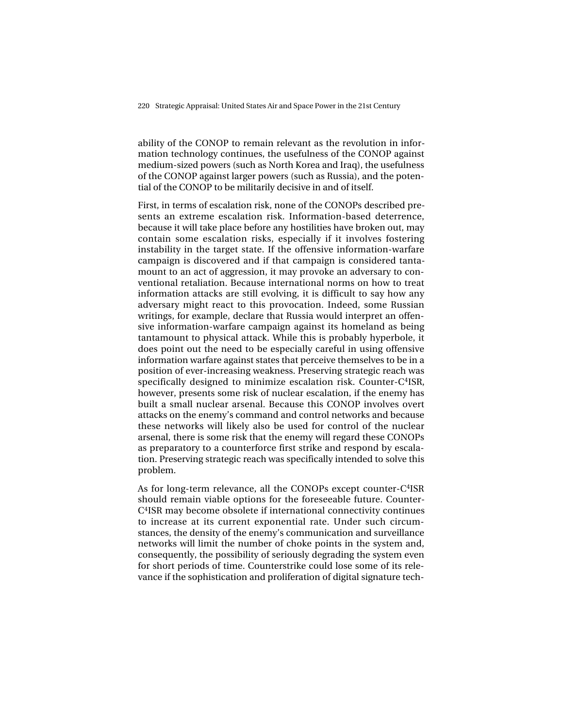ability of the CONOP to remain relevant as the revolution in information technology continues, the usefulness of the CONOP against medium-sized powers (such as North Korea and Iraq), the usefulness of the CONOP against larger powers (such as Russia), and the potential of the CONOP to be militarily decisive in and of itself.

First, in terms of escalation risk, none of the CONOPs described presents an extreme escalation risk. Information-based deterrence, because it will take place before any hostilities have broken out, may contain some escalation risks, especially if it involves fostering instability in the target state. If the offensive information-warfare campaign is discovered and if that campaign is considered tantamount to an act of aggression, it may provoke an adversary to conventional retaliation. Because international norms on how to treat information attacks are still evolving, it is difficult to say how any adversary might react to this provocation. Indeed, some Russian writings, for example, declare that Russia would interpret an offensive information-warfare campaign against its homeland as being tantamount to physical attack. While this is probably hyperbole, it does point out the need to be especially careful in using offensive information warfare against states that perceive themselves to be in a position of ever-increasing weakness. Preserving strategic reach was specifically designed to minimize escalation risk. Counter-C<sup>4</sup>ISR, however, presents some risk of nuclear escalation, if the enemy has built a small nuclear arsenal. Because this CONOP involves overt attacks on the enemy's command and control networks and because these networks will likely also be used for control of the nuclear arsenal, there is some risk that the enemy will regard these CONOPs as preparatory to a counterforce first strike and respond by escalation. Preserving strategic reach was specifically intended to solve this problem.

As for long-term relevance, all the CONOPs except counter-C<sup>4</sup>ISR should remain viable options for the foreseeable future. Counter-C4ISR may become obsolete if international connectivity continues to increase at its current exponential rate. Under such circumstances, the density of the enemy's communication and surveillance networks will limit the number of choke points in the system and, consequently, the possibility of seriously degrading the system even for short periods of time. Counterstrike could lose some of its relevance if the sophistication and proliferation of digital signature tech-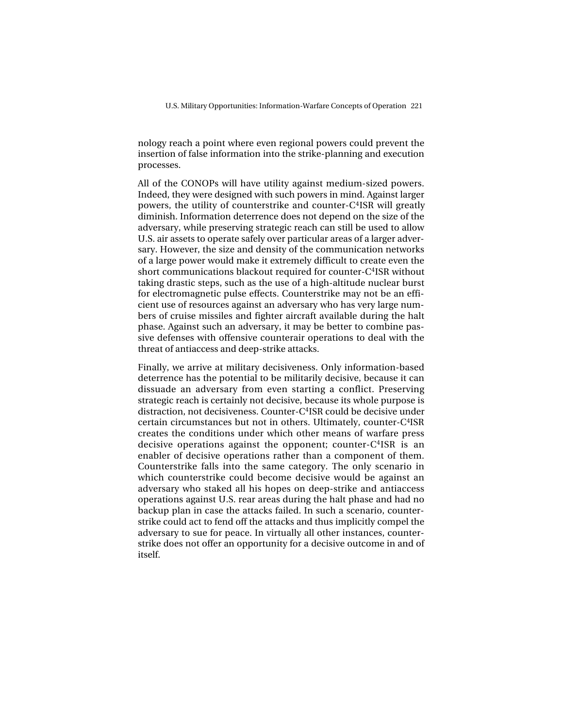nology reach a point where even regional powers could prevent the insertion of false information into the strike-planning and execution processes.

All of the CONOPs will have utility against medium-sized powers. Indeed, they were designed with such powers in mind. Against larger powers, the utility of counterstrike and counter-C<sup>4</sup>ISR will greatly diminish. Information deterrence does not depend on the size of the adversary, while preserving strategic reach can still be used to allow U.S. air assets to operate safely over particular areas of a larger adversary. However, the size and density of the communication networks of a large power would make it extremely difficult to create even the short communications blackout required for counter-C<sup>4</sup>ISR without taking drastic steps, such as the use of a high-altitude nuclear burst for electromagnetic pulse effects. Counterstrike may not be an efficient use of resources against an adversary who has very large numbers of cruise missiles and fighter aircraft available during the halt phase. Against such an adversary, it may be better to combine passive defenses with offensive counterair operations to deal with the threat of antiaccess and deep-strike attacks.

Finally, we arrive at military decisiveness. Only information-based deterrence has the potential to be militarily decisive, because it can dissuade an adversary from even starting a conflict. Preserving strategic reach is certainly not decisive, because its whole purpose is distraction, not decisiveness. Counter-C<sup>4</sup>ISR could be decisive under certain circumstances but not in others. Ultimately, counter-C4ISR creates the conditions under which other means of warfare press decisive operations against the opponent; counter- $C<sup>4</sup>ISR$  is an enabler of decisive operations rather than a component of them. Counterstrike falls into the same category. The only scenario in which counterstrike could become decisive would be against an adversary who staked all his hopes on deep-strike and antiaccess operations against U.S. rear areas during the halt phase and had no backup plan in case the attacks failed. In such a scenario, counterstrike could act to fend off the attacks and thus implicitly compel the adversary to sue for peace. In virtually all other instances, counterstrike does not offer an opportunity for a decisive outcome in and of itself.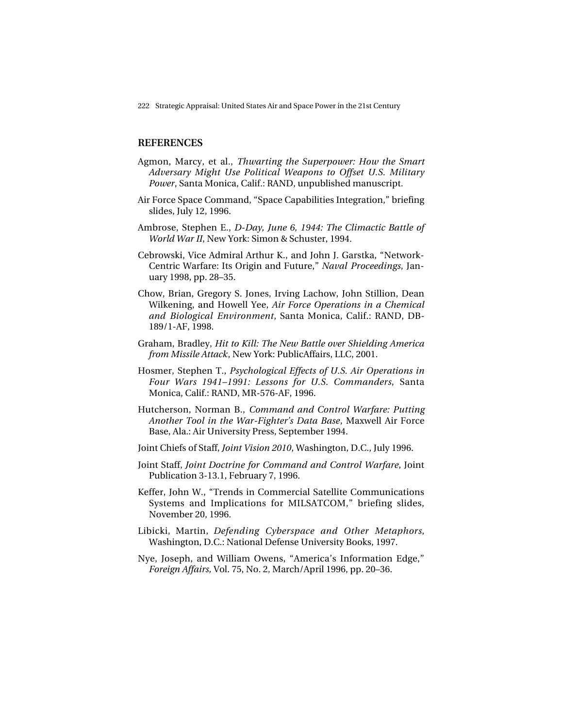## **REFERENCES**

- Agmon, Marcy, et al., *Thwarting the Superpower: How the Smart Adversary Might Use Political Weapons to Offset U.S. Military Power*, Santa Monica, Calif.: RAND, unpublished manuscript.
- Air Force Space Command, "Space Capabilities Integration," briefing slides, July 12, 1996.
- Ambrose, Stephen E., *D-Day, June 6, 1944: The Climactic Battle of World War II*, New York: Simon & Schuster, 1994.
- Cebrowski, Vice Admiral Arthur K., and John J. Garstka, "Network-Centric Warfare: Its Origin and Future," *Naval Proceedings*, January 1998, pp. 28–35.
- Chow, Brian, Gregory S. Jones, Irving Lachow, John Stillion, Dean Wilkening, and Howell Yee, *Air Force Operations in a Chemical and Biological Environment*, Santa Monica, Calif.: RAND, DB-189/1-AF, 1998.
- Graham, Bradley, *Hit to Kill: The New Battle over Shielding America from Missile Attack*, New York: PublicAffairs, LLC, 2001.
- Hosmer, Stephen T., *Psychological Effects of U.S. Air Operations in Four Wars 1941–1991: Lessons for U.S. Commanders*, Santa Monica, Calif.: RAND, MR-576-AF, 1996.
- Hutcherson, Norman B., *Command and Control Warfare: Putting Another Tool in the War-Fighter's Data Base*, Maxwell Air Force Base, Ala.: Air University Press, September 1994.
- Joint Chiefs of Staff, *Joint Vision 2010*, Washington, D.C., July 1996.
- Joint Staff, *Joint Doctrine for Command and Control Warfare*, Joint Publication 3-13.1, February 7, 1996.
- Keffer, John W., "Trends in Commercial Satellite Communications Systems and Implications for MILSATCOM," briefing slides, November 20, 1996.
- Libicki, Martin, *Defending Cyberspace and Other Metaphors*, Washington, D.C.: National Defense University Books, 1997.
- Nye, Joseph, and William Owens, "America's Information Edge," *Foreign Affairs,* Vol. 75, No. 2, March/April 1996, pp. 20–36.